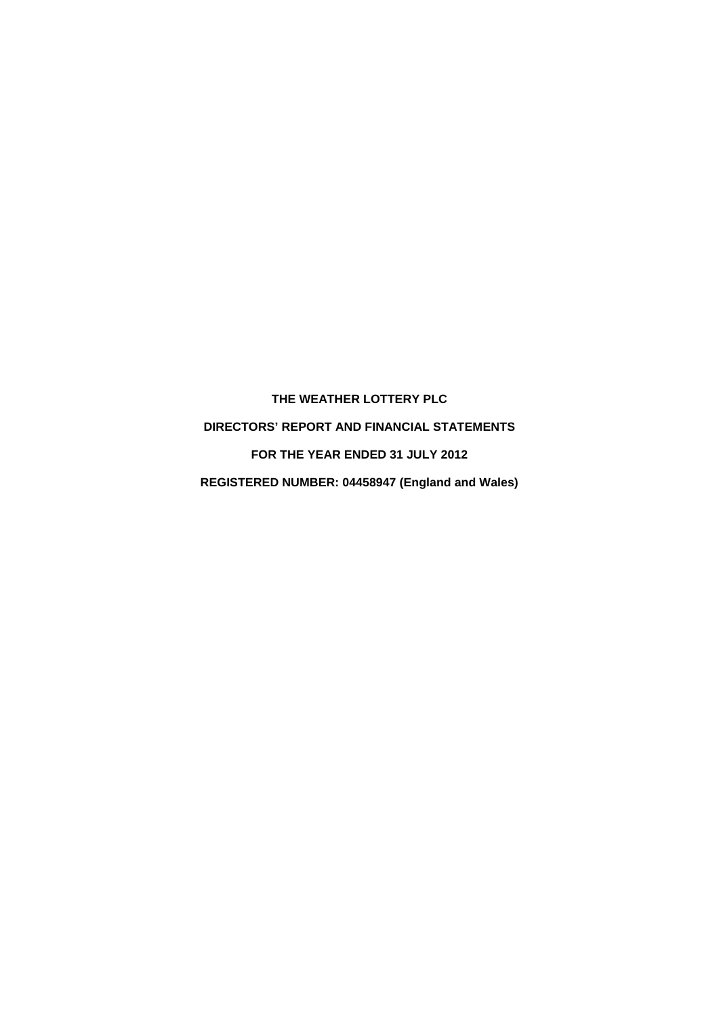**THE WEATHER LOTTERY PLC DIRECTORS' REPORT AND FINANCIAL STATEMENTS FOR THE YEAR ENDED 31 JULY 2012 REGISTERED NUMBER: 04458947 (England and Wales)**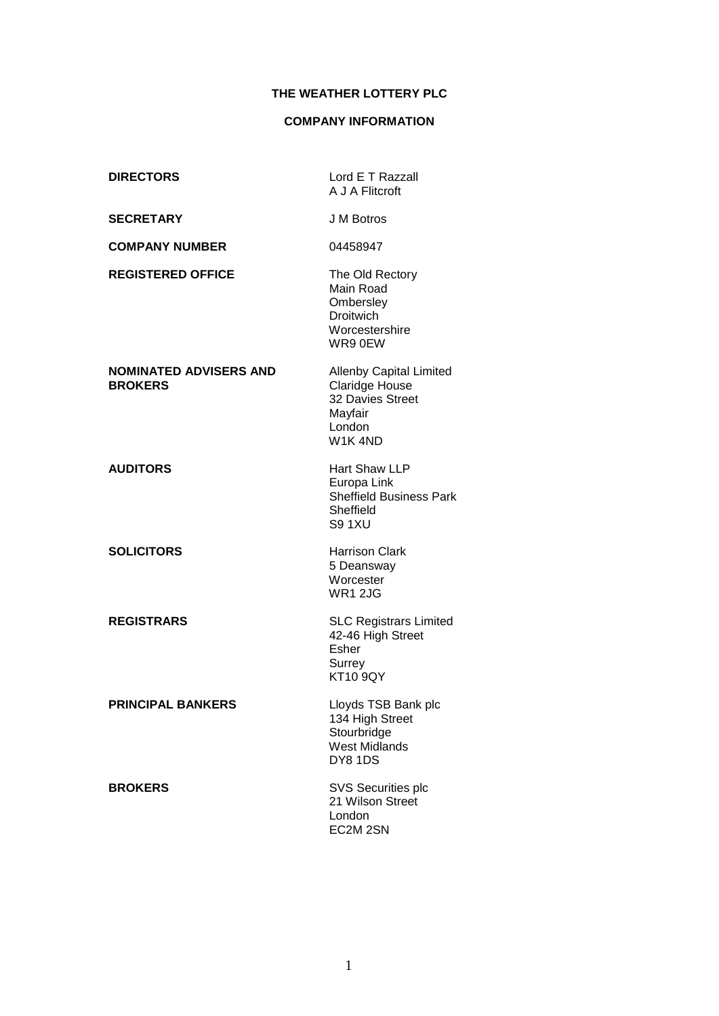# **COMPANY INFORMATION**

| <b>DIRECTORS</b>                                | Lord E T Razzall<br>A J A Flitcroft                                                                 |
|-------------------------------------------------|-----------------------------------------------------------------------------------------------------|
| <b>SECRETARY</b>                                | J M Botros                                                                                          |
| <b>COMPANY NUMBER</b>                           | 04458947                                                                                            |
| <b>REGISTERED OFFICE</b>                        | The Old Rectory<br>Main Road<br>Ombersley<br>Droitwich<br>Worcestershire<br>WR9 0EW                 |
| <b>NOMINATED ADVISERS AND</b><br><b>BROKERS</b> | <b>Allenby Capital Limited</b><br>Claridge House<br>32 Davies Street<br>Mayfair<br>London<br>W1K4ND |
| <b>AUDITORS</b>                                 | Hart Shaw LLP<br>Europa Link<br><b>Sheffield Business Park</b><br>Sheffield<br>S91XU                |
| <b>SOLICITORS</b>                               | <b>Harrison Clark</b><br>5 Deansway<br>Worcester<br>WR1 2JG                                         |
| <b>REGISTRARS</b>                               | <b>SLC Registrars Limited</b><br>42-46 High Street<br>Esher<br>Surrey<br><b>KT10 9QY</b>            |
| <b>PRINCIPAL BANKERS</b>                        | Lloyds TSB Bank plc<br>134 High Street<br>Stourbridge<br><b>West Midlands</b><br>DY8 1DS            |
| <b>BROKERS</b>                                  | <b>SVS Securities plc</b><br>21 Wilson Street<br>London<br>EC2M 2SN                                 |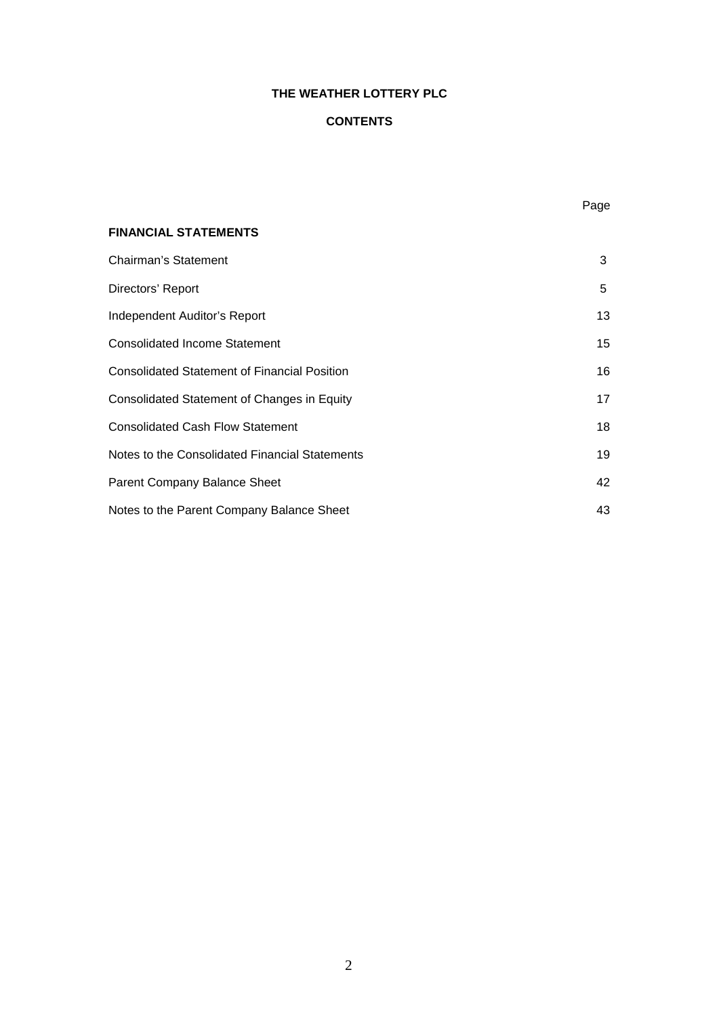# **CONTENTS**

Page

| <b>FINANCIAL STATEMENTS</b>                         |    |
|-----------------------------------------------------|----|
| <b>Chairman's Statement</b>                         | 3  |
| Directors' Report                                   | 5  |
| Independent Auditor's Report                        | 13 |
| <b>Consolidated Income Statement</b>                | 15 |
| <b>Consolidated Statement of Financial Position</b> | 16 |
| Consolidated Statement of Changes in Equity         | 17 |
| <b>Consolidated Cash Flow Statement</b>             | 18 |
| Notes to the Consolidated Financial Statements      | 19 |
| Parent Company Balance Sheet                        | 42 |
| Notes to the Parent Company Balance Sheet           | 43 |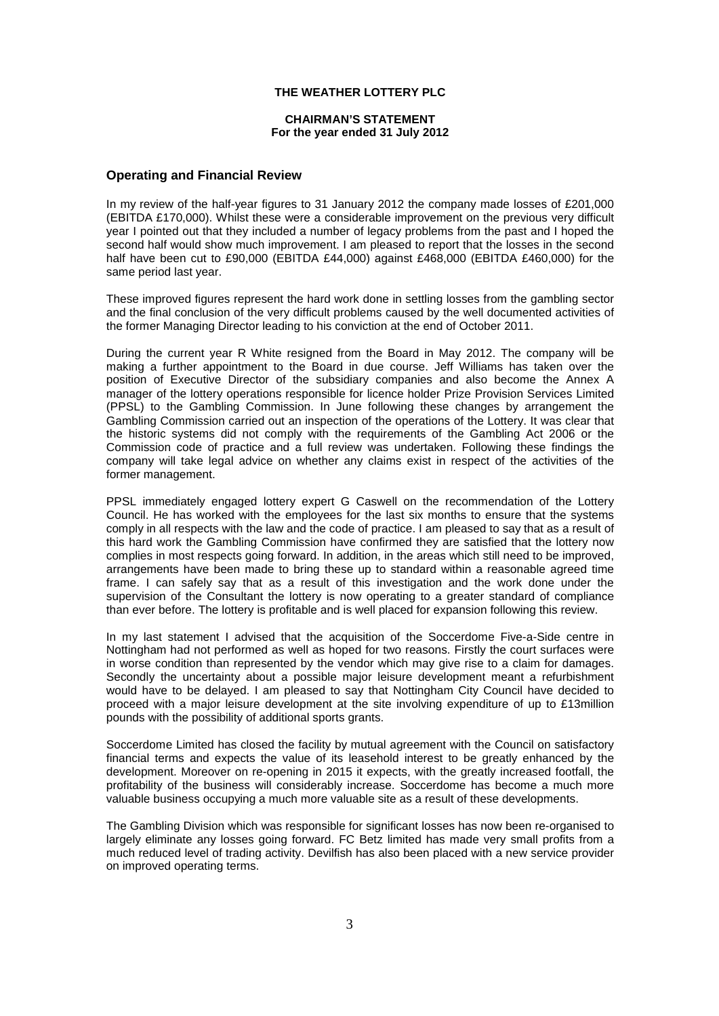### **CHAIRMAN'S STATEMENT For the year ended 31 July 2012**

#### **Operating and Financial Review**

In my review of the half-year figures to 31 January 2012 the company made losses of £201,000 (EBITDA £170,000). Whilst these were a considerable improvement on the previous very difficult year I pointed out that they included a number of legacy problems from the past and I hoped the second half would show much improvement. I am pleased to report that the losses in the second half have been cut to £90,000 (EBITDA £44,000) against £468,000 (EBITDA £460,000) for the same period last year.

These improved figures represent the hard work done in settling losses from the gambling sector and the final conclusion of the very difficult problems caused by the well documented activities of the former Managing Director leading to his conviction at the end of October 2011.

During the current year R White resigned from the Board in May 2012. The company will be making a further appointment to the Board in due course. Jeff Williams has taken over the position of Executive Director of the subsidiary companies and also become the Annex A manager of the lottery operations responsible for licence holder Prize Provision Services Limited (PPSL) to the Gambling Commission. In June following these changes by arrangement the Gambling Commission carried out an inspection of the operations of the Lottery. It was clear that the historic systems did not comply with the requirements of the Gambling Act 2006 or the Commission code of practice and a full review was undertaken. Following these findings the company will take legal advice on whether any claims exist in respect of the activities of the former management.

PPSL immediately engaged lottery expert G Caswell on the recommendation of the Lottery Council. He has worked with the employees for the last six months to ensure that the systems comply in all respects with the law and the code of practice. I am pleased to say that as a result of this hard work the Gambling Commission have confirmed they are satisfied that the lottery now complies in most respects going forward. In addition, in the areas which still need to be improved, arrangements have been made to bring these up to standard within a reasonable agreed time frame. I can safely say that as a result of this investigation and the work done under the supervision of the Consultant the lottery is now operating to a greater standard of compliance than ever before. The lottery is profitable and is well placed for expansion following this review.

In my last statement I advised that the acquisition of the Soccerdome Five-a-Side centre in Nottingham had not performed as well as hoped for two reasons. Firstly the court surfaces were in worse condition than represented by the vendor which may give rise to a claim for damages. Secondly the uncertainty about a possible major leisure development meant a refurbishment would have to be delayed. I am pleased to say that Nottingham City Council have decided to proceed with a major leisure development at the site involving expenditure of up to £13million pounds with the possibility of additional sports grants.

Soccerdome Limited has closed the facility by mutual agreement with the Council on satisfactory financial terms and expects the value of its leasehold interest to be greatly enhanced by the development. Moreover on re-opening in 2015 it expects, with the greatly increased footfall, the profitability of the business will considerably increase. Soccerdome has become a much more valuable business occupying a much more valuable site as a result of these developments.

The Gambling Division which was responsible for significant losses has now been re-organised to largely eliminate any losses going forward. FC Betz limited has made very small profits from a much reduced level of trading activity. Devilfish has also been placed with a new service provider on improved operating terms.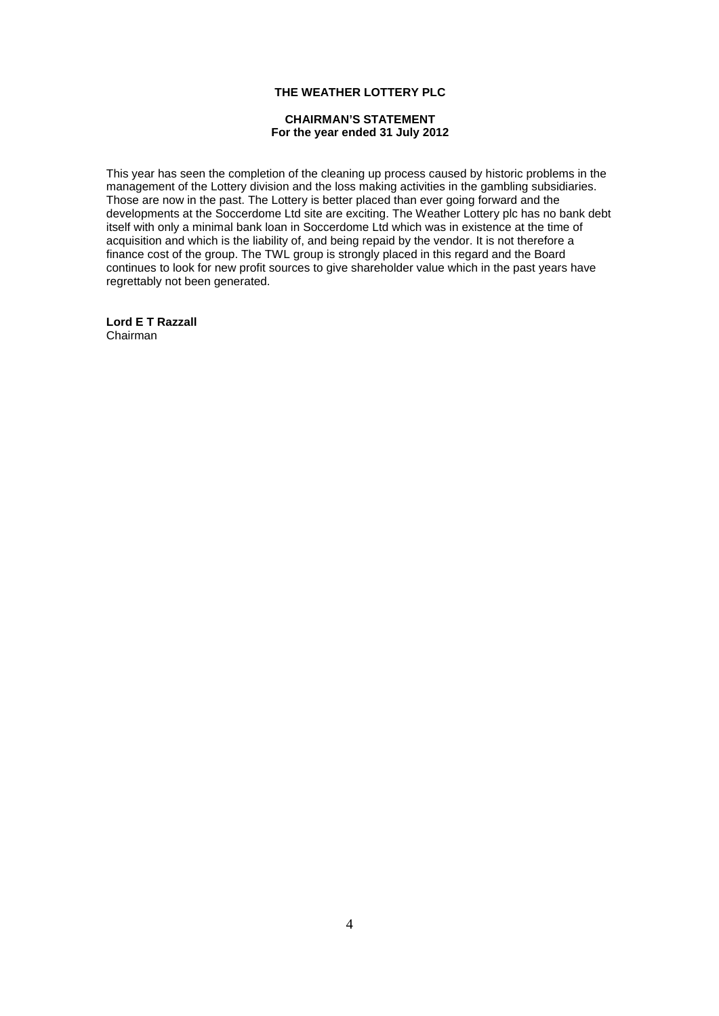# **CHAIRMAN'S STATEMENT For the year ended 31 July 2012**

This year has seen the completion of the cleaning up process caused by historic problems in the management of the Lottery division and the loss making activities in the gambling subsidiaries. Those are now in the past. The Lottery is better placed than ever going forward and the developments at the Soccerdome Ltd site are exciting. The Weather Lottery plc has no bank debt itself with only a minimal bank loan in Soccerdome Ltd which was in existence at the time of acquisition and which is the liability of, and being repaid by the vendor. It is not therefore a finance cost of the group. The TWL group is strongly placed in this regard and the Board continues to look for new profit sources to give shareholder value which in the past years have regrettably not been generated.

**Lord E T Razzall** Chairman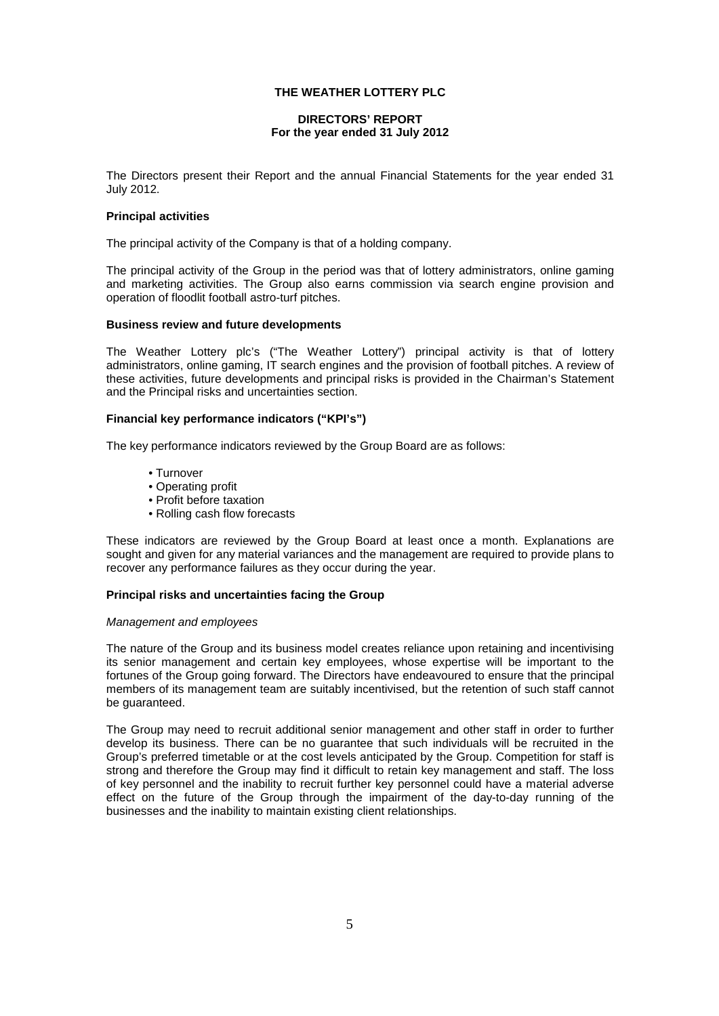# **DIRECTORS' REPORT For the year ended 31 July 2012**

The Directors present their Report and the annual Financial Statements for the year ended 31 July 2012.

#### **Principal activities**

The principal activity of the Company is that of a holding company.

The principal activity of the Group in the period was that of lottery administrators, online gaming and marketing activities. The Group also earns commission via search engine provision and operation of floodlit football astro-turf pitches.

#### **Business review and future developments**

The Weather Lottery plc's ("The Weather Lottery") principal activity is that of lottery administrators, online gaming, IT search engines and the provision of football pitches. A review of these activities, future developments and principal risks is provided in the Chairman's Statement and the Principal risks and uncertainties section.

# **Financial key performance indicators ("KPI's")**

The key performance indicators reviewed by the Group Board are as follows:

- Turnover
- Operating profit
- Profit before taxation
- Rolling cash flow forecasts

These indicators are reviewed by the Group Board at least once a month. Explanations are sought and given for any material variances and the management are required to provide plans to recover any performance failures as they occur during the year.

# **Principal risks and uncertainties facing the Group**

#### *Management and employees*

The nature of the Group and its business model creates reliance upon retaining and incentivising its senior management and certain key employees, whose expertise will be important to the fortunes of the Group going forward. The Directors have endeavoured to ensure that the principal members of its management team are suitably incentivised, but the retention of such staff cannot be guaranteed.

The Group may need to recruit additional senior management and other staff in order to further develop its business. There can be no guarantee that such individuals will be recruited in the Group's preferred timetable or at the cost levels anticipated by the Group. Competition for staff is strong and therefore the Group may find it difficult to retain key management and staff. The loss of key personnel and the inability to recruit further key personnel could have a material adverse effect on the future of the Group through the impairment of the day-to-day running of the businesses and the inability to maintain existing client relationships.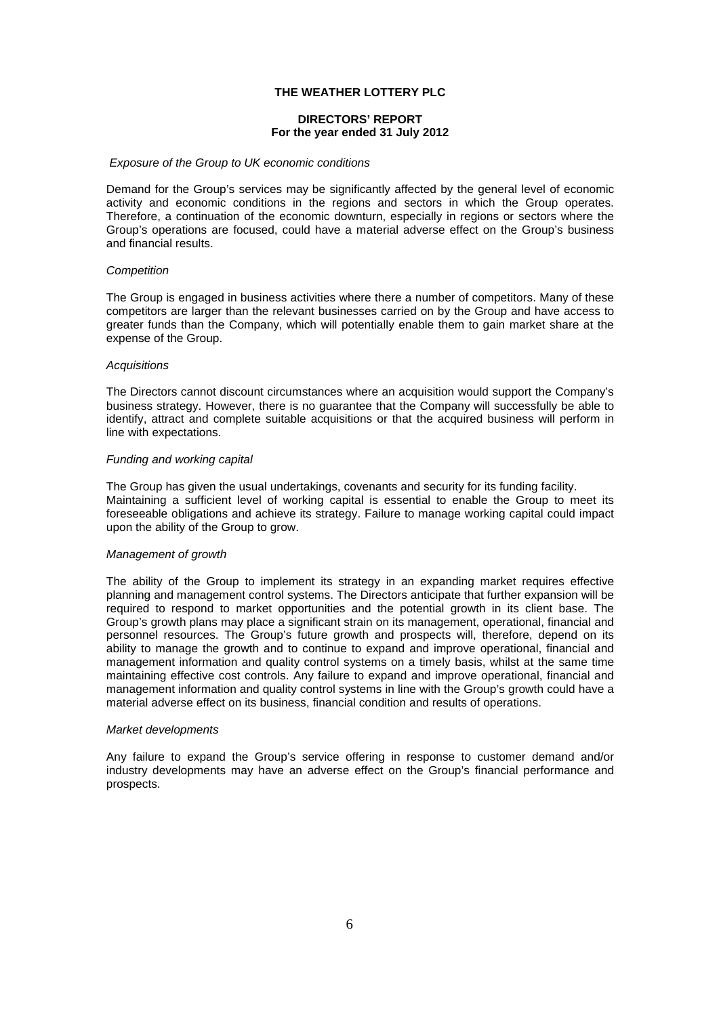# **DIRECTORS' REPORT For the year ended 31 July 2012**

#### *Exposure of the Group to UK economic conditions*

Demand for the Group's services may be significantly affected by the general level of economic activity and economic conditions in the regions and sectors in which the Group operates. Therefore, a continuation of the economic downturn, especially in regions or sectors where the Group's operations are focused, could have a material adverse effect on the Group's business and financial results.

#### *Competition*

The Group is engaged in business activities where there a number of competitors. Many of these competitors are larger than the relevant businesses carried on by the Group and have access to greater funds than the Company, which will potentially enable them to gain market share at the expense of the Group.

#### *Acquisitions*

The Directors cannot discount circumstances where an acquisition would support the Company's business strategy. However, there is no guarantee that the Company will successfully be able to identify, attract and complete suitable acquisitions or that the acquired business will perform in line with expectations.

#### *Funding and working capital*

The Group has given the usual undertakings, covenants and security for its funding facility. Maintaining a sufficient level of working capital is essential to enable the Group to meet its foreseeable obligations and achieve its strategy. Failure to manage working capital could impact upon the ability of the Group to grow.

#### *Management of growth*

The ability of the Group to implement its strategy in an expanding market requires effective planning and management control systems. The Directors anticipate that further expansion will be required to respond to market opportunities and the potential growth in its client base. The Group's growth plans may place a significant strain on its management, operational, financial and personnel resources. The Group's future growth and prospects will, therefore, depend on its ability to manage the growth and to continue to expand and improve operational, financial and management information and quality control systems on a timely basis, whilst at the same time maintaining effective cost controls. Any failure to expand and improve operational, financial and management information and quality control systems in line with the Group's growth could have a material adverse effect on its business, financial condition and results of operations.

#### *Market developments*

Any failure to expand the Group's service offering in response to customer demand and/or industry developments may have an adverse effect on the Group's financial performance and prospects.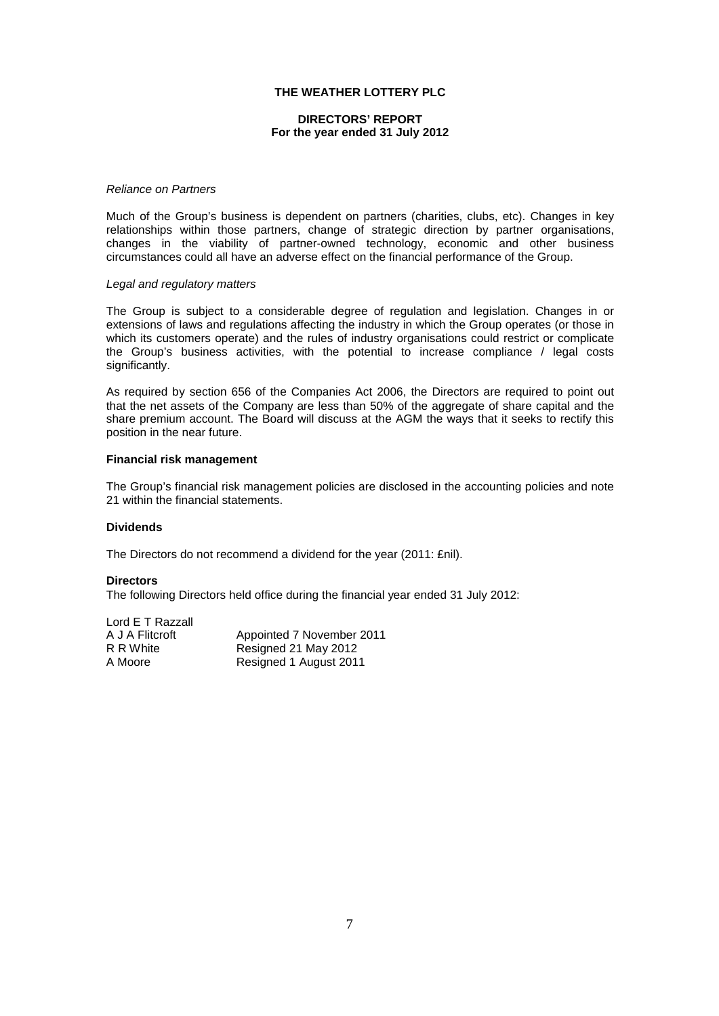### **DIRECTORS' REPORT For the year ended 31 July 2012**

#### *Reliance on Partners*

Much of the Group's business is dependent on partners (charities, clubs, etc). Changes in key relationships within those partners, change of strategic direction by partner organisations, changes in the viability of partner-owned technology, economic and other business circumstances could all have an adverse effect on the financial performance of the Group.

#### *Legal and regulatory matters*

The Group is subject to a considerable degree of regulation and legislation. Changes in or extensions of laws and regulations affecting the industry in which the Group operates (or those in which its customers operate) and the rules of industry organisations could restrict or complicate the Group's business activities, with the potential to increase compliance / legal costs significantly.

As required by section 656 of the Companies Act 2006, the Directors are required to point out that the net assets of the Company are less than 50% of the aggregate of share capital and the share premium account. The Board will discuss at the AGM the ways that it seeks to rectify this position in the near future.

#### **Financial risk management**

The Group's financial risk management policies are disclosed in the accounting policies and note 21 within the financial statements.

# **Dividends**

The Directors do not recommend a dividend for the year (2011: £nil).

#### **Directors**

The following Directors held office during the financial year ended 31 July 2012:

| Lord E T Razzall |                           |
|------------------|---------------------------|
| A J A Flitcroft  | Appointed 7 November 2011 |
| R R White        | Resigned 21 May 2012      |
| A Moore          | Resigned 1 August 2011    |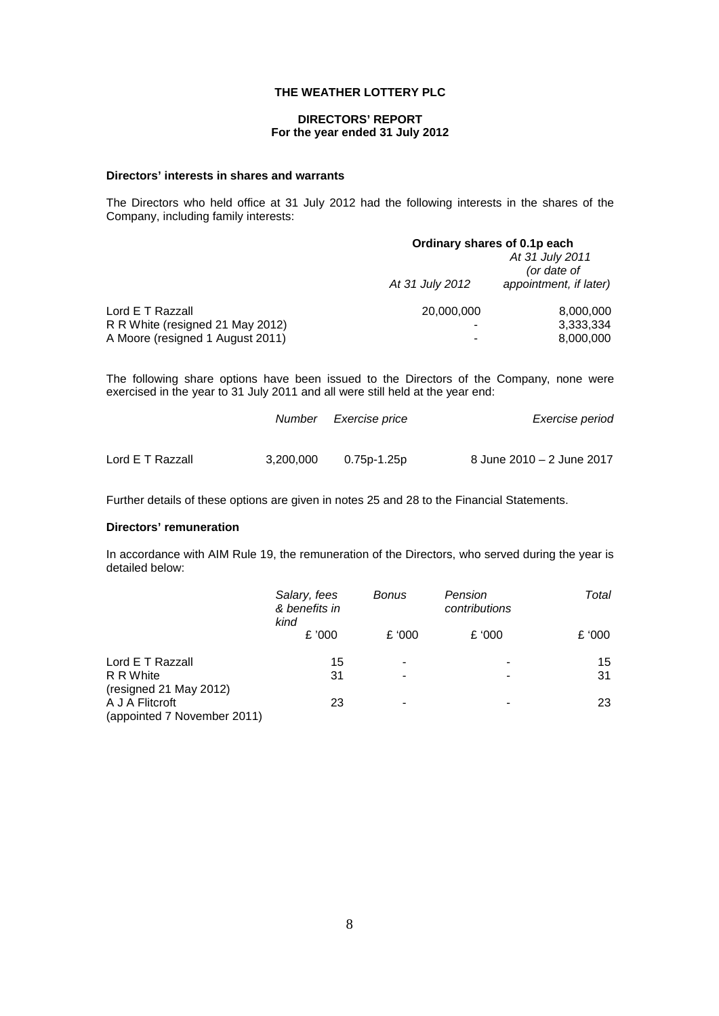# **DIRECTORS' REPORT For the year ended 31 July 2012**

#### **Directors' interests in shares and warrants**

The Directors who held office at 31 July 2012 had the following interests in the shares of the Company, including family interests:

|                                  | Ordinary shares of 0.1p each |                                |  |
|----------------------------------|------------------------------|--------------------------------|--|
|                                  |                              | At 31 July 2011<br>(or date of |  |
|                                  | At 31 July 2012              | appointment, if later)         |  |
| Lord E T Razzall                 | 20,000,000                   | 8,000,000                      |  |
| R R White (resigned 21 May 2012) | $\blacksquare$               | 3,333,334                      |  |
| A Moore (resigned 1 August 2011) | $\blacksquare$               | 8,000,000                      |  |

The following share options have been issued to the Directors of the Company, none were exercised in the year to 31 July 2011 and all were still held at the year end:

|                  |           | Number Exercise price | Exercise period           |
|------------------|-----------|-----------------------|---------------------------|
| Lord E T Razzall | 3.200.000 | 0.75p-1.25p           | 8 June 2010 - 2 June 2017 |

Further details of these options are given in notes 25 and 28 to the Financial Statements.

# **Directors' remuneration**

In accordance with AIM Rule 19, the remuneration of the Directors, who served during the year is detailed below:

|                                                | Salary, fees<br>& benefits in<br>kind | <b>Bonus</b> | Pension<br>contributions | Total  |
|------------------------------------------------|---------------------------------------|--------------|--------------------------|--------|
|                                                | £'000                                 | £ '000       | £ '000                   | £ '000 |
| Lord E T Razzall                               | 15                                    |              |                          | 15     |
| R R White<br>(resigned 21 May 2012)            | 31                                    |              | -                        | 31     |
| A J A Flitcroft<br>(appointed 7 November 2011) | 23                                    |              |                          | 23     |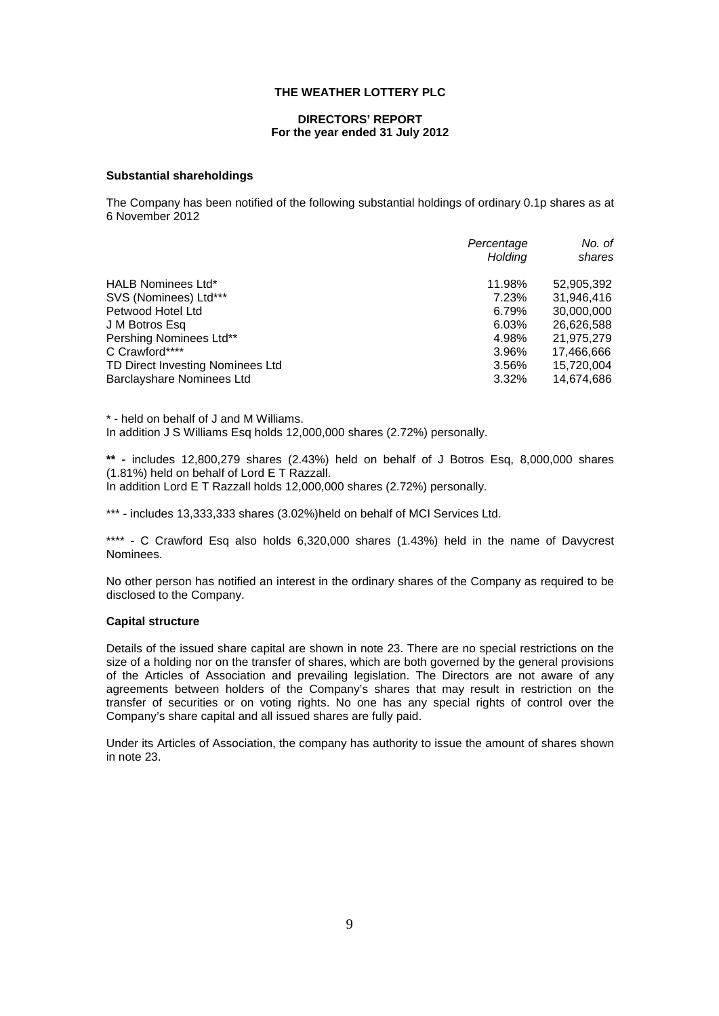### **DIRECTORS' REPORT For the year ended 31 July 2012**

#### **Substantial shareholdings**

The Company has been notified of the following substantial holdings of ordinary 0.1p shares as at 6 November 2012

|                                  | Percentage<br>Holding | No. of<br>shares |
|----------------------------------|-----------------------|------------------|
| <b>HALB Nominees Ltd*</b>        | 11.98%                | 52,905,392       |
| SVS (Nominees) Ltd***            | 7.23%                 | 31,946,416       |
| Petwood Hotel Ltd                | 6.79%                 | 30,000,000       |
| J M Botros Esg                   | 6.03%                 | 26.626.588       |
| Pershing Nominees Ltd**          | 4.98%                 | 21,975,279       |
| C Crawford****                   | 3.96%                 | 17,466,666       |
| TD Direct Investing Nominees Ltd | 3.56%                 | 15,720,004       |
| Barclayshare Nominees Ltd        | 3.32%                 | 14,674,686       |

\* - held on behalf of J and M Williams. In addition J S Williams Esq holds 12,000,000 shares (2.72%) personally.

**\*\* -** includes 12,800,279 shares (2.43%) held on behalf of J Botros Esq, 8,000,000 shares (1.81%) held on behalf of Lord E T Razzall. In addition Lord E T Razzall holds 12,000,000 shares (2.72%) personally.

\*\*\* - includes 13,333,333 shares (3.02%)held on behalf of MCI Services Ltd.

\*\*\*\* - C Crawford Esq also holds 6,320,000 shares (1.43%) held in the name of Davycrest Nominees.

No other person has notified an interest in the ordinary shares of the Company as required to be disclosed to the Company.

#### **Capital structure**

Details of the issued share capital are shown in note 23. There are no special restrictions on the size of a holding nor on the transfer of shares, which are both governed by the general provisions of the Articles of Association and prevailing legislation. The Directors are not aware of any agreements between holders of the Company's shares that may result in restriction on the transfer of securities or on voting rights. No one has any special rights of control over the Company's share capital and all issued shares are fully paid.

Under its Articles of Association, the company has authority to issue the amount of shares shown in note 23.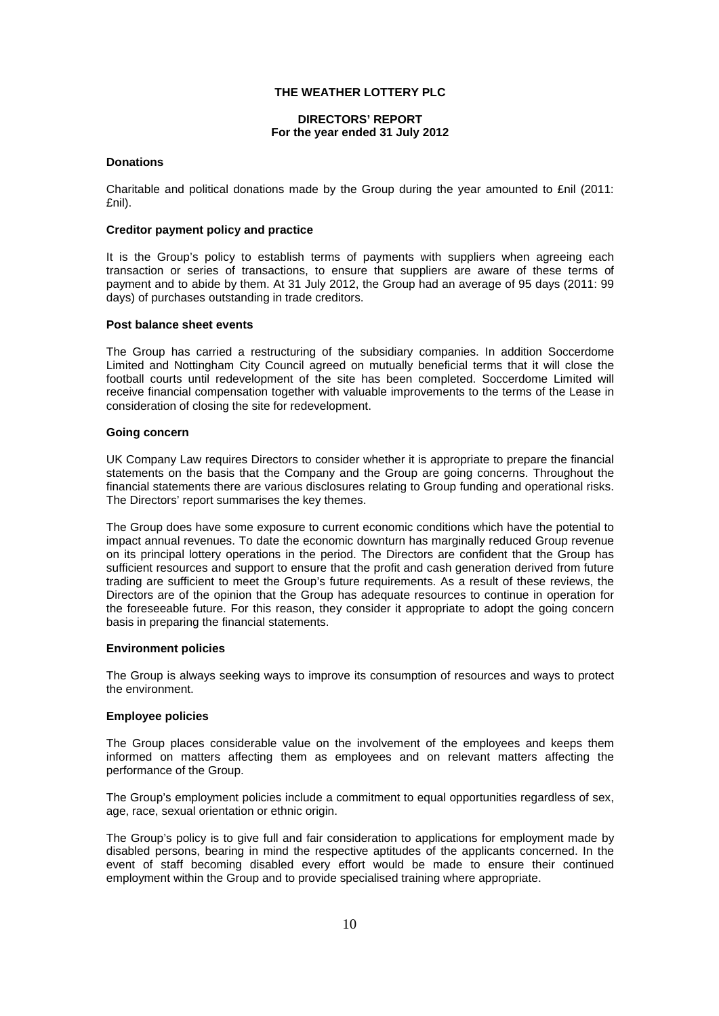# **DIRECTORS' REPORT For the year ended 31 July 2012**

# **Donations**

Charitable and political donations made by the Group during the year amounted to £nil (2011: £nil).

# **Creditor payment policy and practice**

It is the Group's policy to establish terms of payments with suppliers when agreeing each transaction or series of transactions, to ensure that suppliers are aware of these terms of payment and to abide by them. At 31 July 2012, the Group had an average of 95 days (2011: 99 days) of purchases outstanding in trade creditors.

#### **Post balance sheet events**

The Group has carried a restructuring of the subsidiary companies. In addition Soccerdome Limited and Nottingham City Council agreed on mutually beneficial terms that it will close the football courts until redevelopment of the site has been completed. Soccerdome Limited will receive financial compensation together with valuable improvements to the terms of the Lease in consideration of closing the site for redevelopment.

# **Going concern**

UK Company Law requires Directors to consider whether it is appropriate to prepare the financial statements on the basis that the Company and the Group are going concerns. Throughout the financial statements there are various disclosures relating to Group funding and operational risks. The Directors' report summarises the key themes.

The Group does have some exposure to current economic conditions which have the potential to impact annual revenues. To date the economic downturn has marginally reduced Group revenue on its principal lottery operations in the period. The Directors are confident that the Group has sufficient resources and support to ensure that the profit and cash generation derived from future trading are sufficient to meet the Group's future requirements. As a result of these reviews, the Directors are of the opinion that the Group has adequate resources to continue in operation for the foreseeable future. For this reason, they consider it appropriate to adopt the going concern basis in preparing the financial statements.

# **Environment policies**

The Group is always seeking ways to improve its consumption of resources and ways to protect the environment.

### **Employee policies**

The Group places considerable value on the involvement of the employees and keeps them informed on matters affecting them as employees and on relevant matters affecting the performance of the Group.

The Group's employment policies include a commitment to equal opportunities regardless of sex, age, race, sexual orientation or ethnic origin.

The Group's policy is to give full and fair consideration to applications for employment made by disabled persons, bearing in mind the respective aptitudes of the applicants concerned. In the event of staff becoming disabled every effort would be made to ensure their continued employment within the Group and to provide specialised training where appropriate.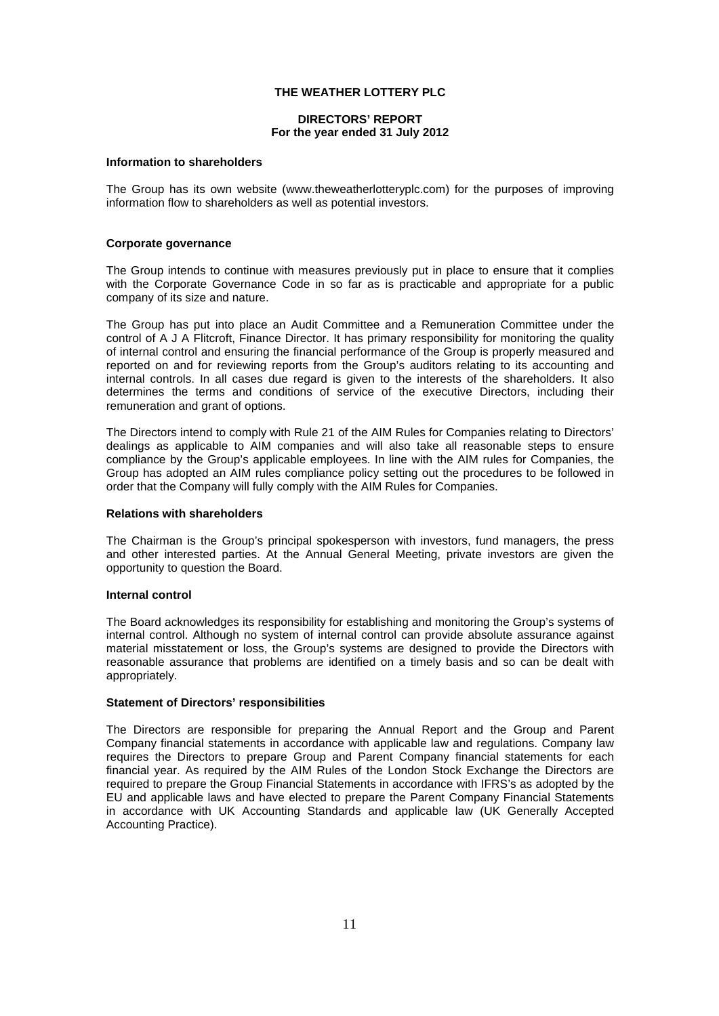# **DIRECTORS' REPORT For the year ended 31 July 2012**

#### **Information to shareholders**

The Group has its own website (www.theweatherlotteryplc.com) for the purposes of improving information flow to shareholders as well as potential investors.

#### **Corporate governance**

The Group intends to continue with measures previously put in place to ensure that it complies with the Corporate Governance Code in so far as is practicable and appropriate for a public company of its size and nature.

The Group has put into place an Audit Committee and a Remuneration Committee under the control of A J A Flitcroft, Finance Director. It has primary responsibility for monitoring the quality of internal control and ensuring the financial performance of the Group is properly measured and reported on and for reviewing reports from the Group's auditors relating to its accounting and internal controls. In all cases due regard is given to the interests of the shareholders. It also determines the terms and conditions of service of the executive Directors, including their remuneration and grant of options.

The Directors intend to comply with Rule 21 of the AIM Rules for Companies relating to Directors' dealings as applicable to AIM companies and will also take all reasonable steps to ensure compliance by the Group's applicable employees. In line with the AIM rules for Companies, the Group has adopted an AIM rules compliance policy setting out the procedures to be followed in order that the Company will fully comply with the AIM Rules for Companies.

# **Relations with shareholders**

The Chairman is the Group's principal spokesperson with investors, fund managers, the press and other interested parties. At the Annual General Meeting, private investors are given the opportunity to question the Board.

# **Internal control**

The Board acknowledges its responsibility for establishing and monitoring the Group's systems of internal control. Although no system of internal control can provide absolute assurance against material misstatement or loss, the Group's systems are designed to provide the Directors with reasonable assurance that problems are identified on a timely basis and so can be dealt with appropriately.

# **Statement of Directors' responsibilities**

The Directors are responsible for preparing the Annual Report and the Group and Parent Company financial statements in accordance with applicable law and regulations. Company law requires the Directors to prepare Group and Parent Company financial statements for each financial year. As required by the AIM Rules of the London Stock Exchange the Directors are required to prepare the Group Financial Statements in accordance with IFRS's as adopted by the EU and applicable laws and have elected to prepare the Parent Company Financial Statements in accordance with UK Accounting Standards and applicable law (UK Generally Accepted Accounting Practice).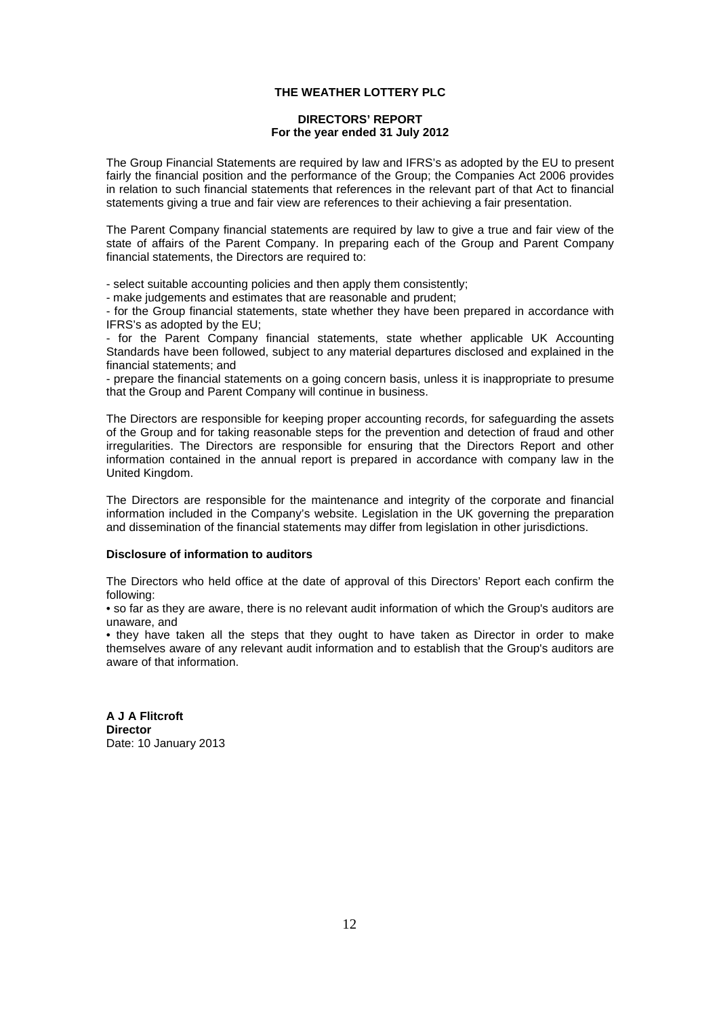# **DIRECTORS' REPORT For the year ended 31 July 2012**

The Group Financial Statements are required by law and IFRS's as adopted by the EU to present fairly the financial position and the performance of the Group; the Companies Act 2006 provides in relation to such financial statements that references in the relevant part of that Act to financial statements giving a true and fair view are references to their achieving a fair presentation.

The Parent Company financial statements are required by law to give a true and fair view of the state of affairs of the Parent Company. In preparing each of the Group and Parent Company financial statements, the Directors are required to:

- select suitable accounting policies and then apply them consistently;

- make judgements and estimates that are reasonable and prudent;

- for the Group financial statements, state whether they have been prepared in accordance with IFRS's as adopted by the EU;

- for the Parent Company financial statements, state whether applicable UK Accounting Standards have been followed, subject to any material departures disclosed and explained in the financial statements; and

- prepare the financial statements on a going concern basis, unless it is inappropriate to presume that the Group and Parent Company will continue in business.

The Directors are responsible for keeping proper accounting records, for safeguarding the assets of the Group and for taking reasonable steps for the prevention and detection of fraud and other irregularities. The Directors are responsible for ensuring that the Directors Report and other information contained in the annual report is prepared in accordance with company law in the United Kingdom.

The Directors are responsible for the maintenance and integrity of the corporate and financial information included in the Company's website. Legislation in the UK governing the preparation and dissemination of the financial statements may differ from legislation in other jurisdictions.

# **Disclosure of information to auditors**

The Directors who held office at the date of approval of this Directors' Report each confirm the following:

• so far as they are aware, there is no relevant audit information of which the Group's auditors are unaware, and

• they have taken all the steps that they ought to have taken as Director in order to make themselves aware of any relevant audit information and to establish that the Group's auditors are aware of that information.

**A J A Flitcroft Director** Date: 10 January 2013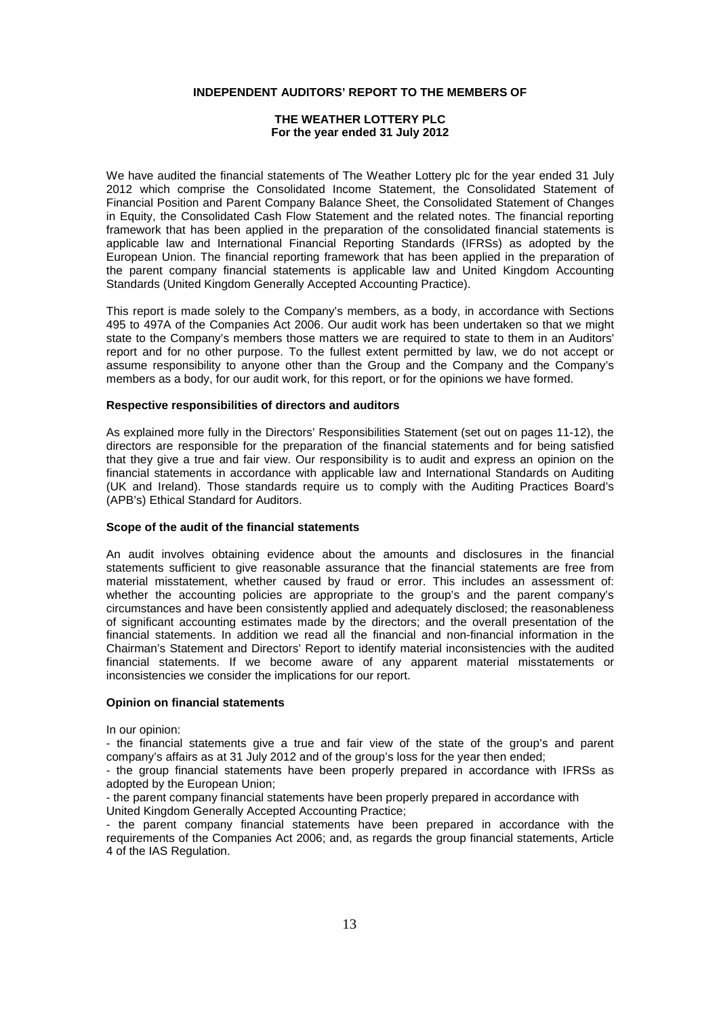#### **INDEPENDENT AUDITORS' REPORT TO THE MEMBERS OF**

# **THE WEATHER LOTTERY PLC For the year ended 31 July 2012**

We have audited the financial statements of The Weather Lottery plc for the year ended 31 July 2012 which comprise the Consolidated Income Statement, the Consolidated Statement of Financial Position and Parent Company Balance Sheet, the Consolidated Statement of Changes in Equity, the Consolidated Cash Flow Statement and the related notes. The financial reporting framework that has been applied in the preparation of the consolidated financial statements is applicable law and International Financial Reporting Standards (IFRSs) as adopted by the European Union. The financial reporting framework that has been applied in the preparation of the parent company financial statements is applicable law and United Kingdom Accounting Standards (United Kingdom Generally Accepted Accounting Practice).

This report is made solely to the Company's members, as a body, in accordance with Sections 495 to 497A of the Companies Act 2006. Our audit work has been undertaken so that we might state to the Company's members those matters we are required to state to them in an Auditors' report and for no other purpose. To the fullest extent permitted by law, we do not accept or assume responsibility to anyone other than the Group and the Company and the Company's members as a body, for our audit work, for this report, or for the opinions we have formed.

# **Respective responsibilities of directors and auditors**

As explained more fully in the Directors' Responsibilities Statement (set out on pages 11-12), the directors are responsible for the preparation of the financial statements and for being satisfied that they give a true and fair view. Our responsibility is to audit and express an opinion on the financial statements in accordance with applicable law and International Standards on Auditing (UK and Ireland). Those standards require us to comply with the Auditing Practices Board's (APB's) Ethical Standard for Auditors.

# **Scope of the audit of the financial statements**

An audit involves obtaining evidence about the amounts and disclosures in the financial statements sufficient to give reasonable assurance that the financial statements are free from material misstatement, whether caused by fraud or error. This includes an assessment of: whether the accounting policies are appropriate to the group's and the parent company's circumstances and have been consistently applied and adequately disclosed; the reasonableness of significant accounting estimates made by the directors; and the overall presentation of the financial statements. In addition we read all the financial and non-financial information in the Chairman's Statement and Directors' Report to identify material inconsistencies with the audited financial statements. If we become aware of any apparent material misstatements or inconsistencies we consider the implications for our report.

# **Opinion on financial statements**

In our opinion:

- the financial statements give a true and fair view of the state of the group's and parent company's affairs as at 31 July 2012 and of the group's loss for the year then ended;

- the group financial statements have been properly prepared in accordance with IFRSs as adopted by the European Union;

- the parent company financial statements have been properly prepared in accordance with United Kingdom Generally Accepted Accounting Practice;

- the parent company financial statements have been prepared in accordance with the requirements of the Companies Act 2006; and, as regards the group financial statements, Article 4 of the IAS Regulation.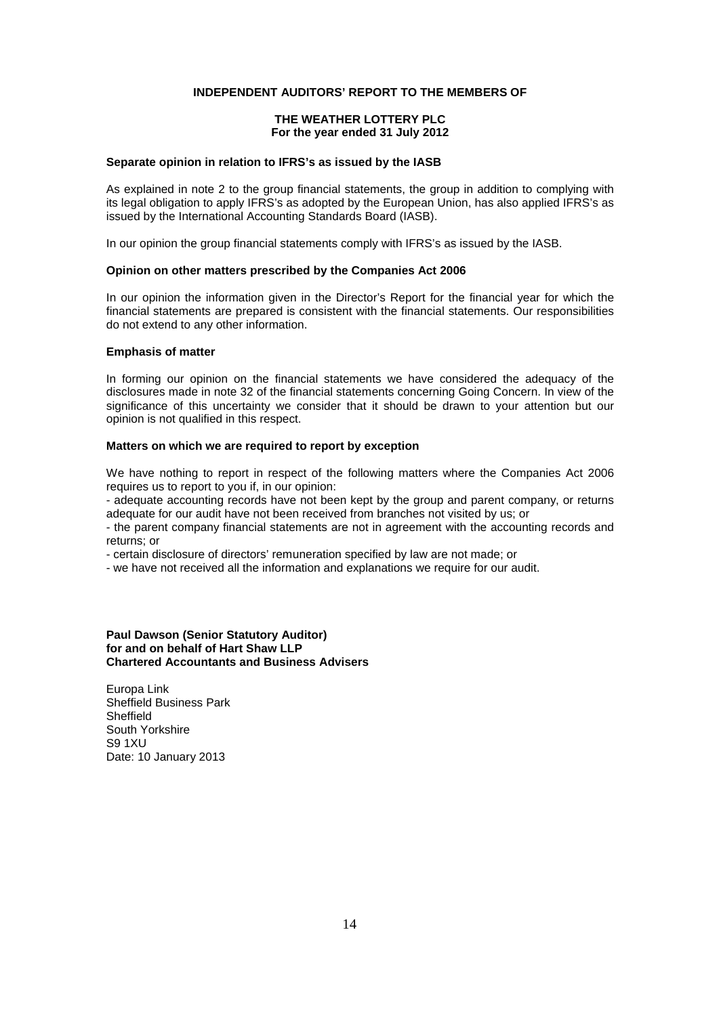# **INDEPENDENT AUDITORS' REPORT TO THE MEMBERS OF**

# **THE WEATHER LOTTERY PLC For the year ended 31 July 2012**

# **Separate opinion in relation to IFRS's as issued by the IASB**

As explained in note 2 to the group financial statements, the group in addition to complying with its legal obligation to apply IFRS's as adopted by the European Union, has also applied IFRS's as issued by the International Accounting Standards Board (IASB).

In our opinion the group financial statements comply with IFRS's as issued by the IASB.

# **Opinion on other matters prescribed by the Companies Act 2006**

In our opinion the information given in the Director's Report for the financial year for which the financial statements are prepared is consistent with the financial statements. Our responsibilities do not extend to any other information.

# **Emphasis of matter**

In forming our opinion on the financial statements we have considered the adequacy of the disclosures made in note 32 of the financial statements concerning Going Concern. In view of the significance of this uncertainty we consider that it should be drawn to your attention but our opinion is not qualified in this respect.

# **Matters on which we are required to report by exception**

We have nothing to report in respect of the following matters where the Companies Act 2006 requires us to report to you if, in our opinion:

- adequate accounting records have not been kept by the group and parent company, or returns adequate for our audit have not been received from branches not visited by us; or

- the parent company financial statements are not in agreement with the accounting records and returns; or

- certain disclosure of directors' remuneration specified by law are not made; or

- we have not received all the information and explanations we require for our audit.

#### **Paul Dawson (Senior Statutory Auditor) for and on behalf of Hart Shaw LLP Chartered Accountants and Business Advisers**

Europa Link Sheffield Business Park **Sheffield** South Yorkshire S9 1XU Date: 10 January 2013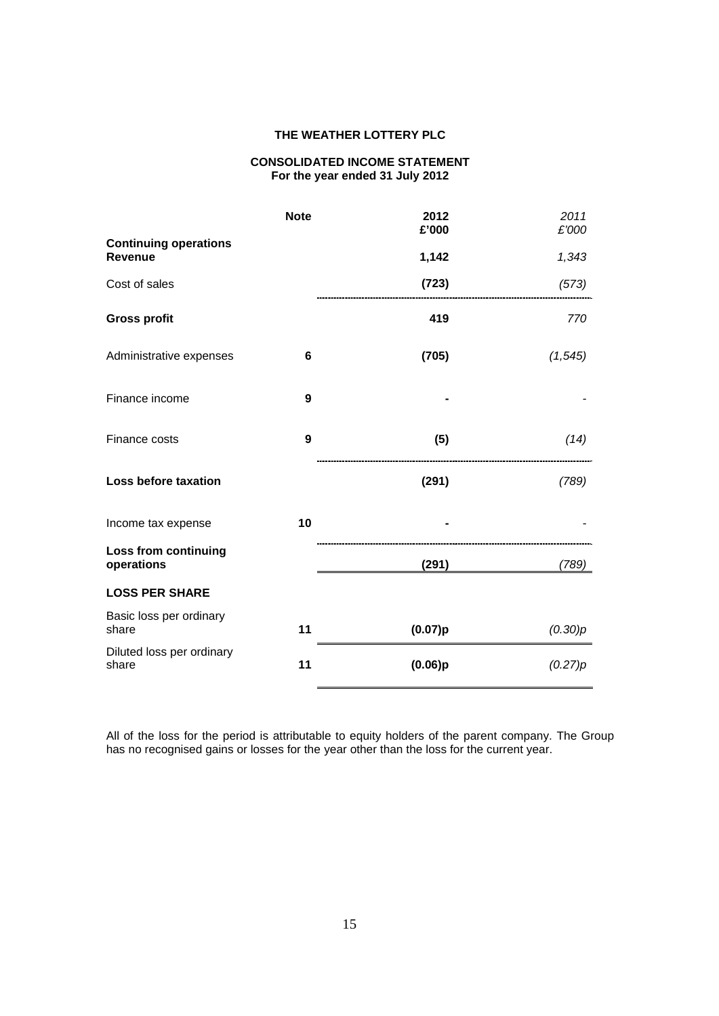# **CONSOLIDATED INCOME STATEMENT For the year ended 31 July 2012**

|                                           | <b>Note</b> | 2012<br>£'000 | 2011<br>£'000 |
|-------------------------------------------|-------------|---------------|---------------|
| <b>Continuing operations</b>              |             |               |               |
| <b>Revenue</b>                            |             | 1,142         | 1,343         |
| Cost of sales                             |             | (723)         | (573)         |
| <b>Gross profit</b>                       |             | 419           | 770           |
| Administrative expenses                   | 6           | (705)         | (1, 545)      |
| Finance income                            | 9           |               |               |
| Finance costs                             | 9           | (5)           | (14)          |
| Loss before taxation                      |             | (291)         | (789)         |
| Income tax expense                        | 10          |               |               |
| <b>Loss from continuing</b><br>operations |             | (291)         | (789)         |
| <b>LOSS PER SHARE</b>                     |             |               |               |
| Basic loss per ordinary<br>share          | 11          | (0.07)p       | (0.30)p       |
| Diluted loss per ordinary<br>share        | 11          | (0.06)p       | (0.27)p       |

All of the loss for the period is attributable to equity holders of the parent company. The Group has no recognised gains or losses for the year other than the loss for the current year.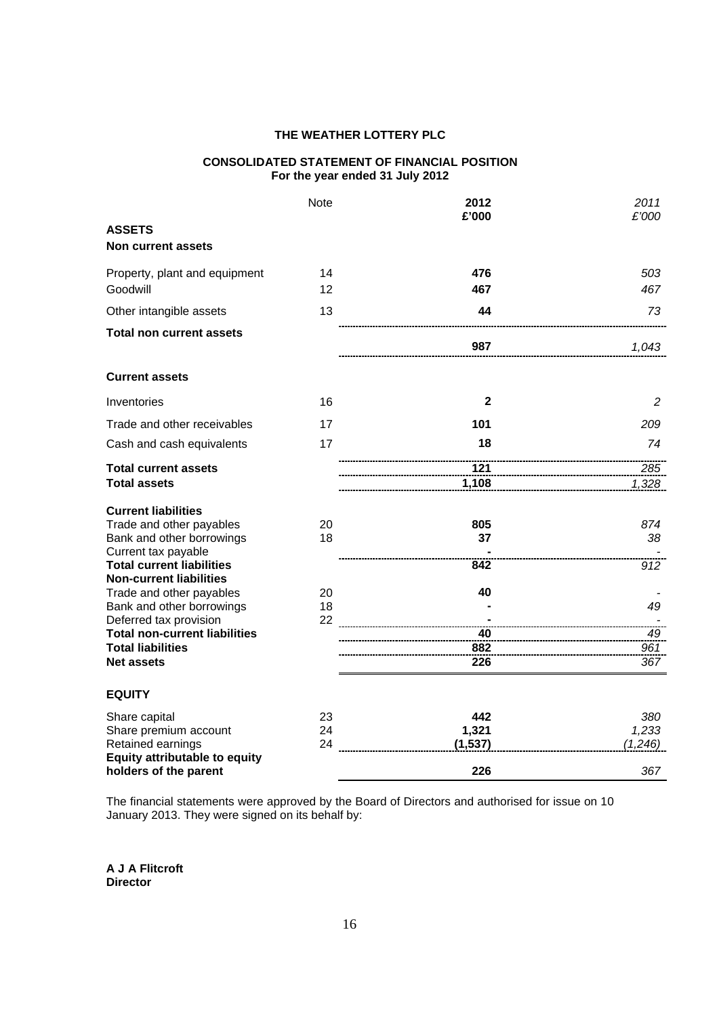# **CONSOLIDATED STATEMENT OF FINANCIAL POSITION For the year ended 31 July 2012**

|                                                         | <b>Note</b> | 2012<br>£'000 | 2011<br>£'000 |
|---------------------------------------------------------|-------------|---------------|---------------|
| <b>ASSETS</b><br><b>Non current assets</b>              |             |               |               |
| Property, plant and equipment                           | 14          | 476           | 503           |
| Goodwill                                                | 12          | 467           | 467           |
| Other intangible assets                                 | 13          | 44            | 73            |
| <b>Total non current assets</b>                         |             | 987           | 1,043         |
| <b>Current assets</b>                                   |             |               |               |
| Inventories                                             | 16          | $\mathbf{2}$  | 2             |
| Trade and other receivables                             | 17          | 101           | 209           |
| Cash and cash equivalents                               | 17          | 18            | 74            |
| <b>Total current assets</b>                             |             | 121           | 285           |
| <b>Total assets</b>                                     |             | 1,108         | 1,328         |
| <b>Current liabilities</b>                              |             |               |               |
| Trade and other payables                                | 20          | 805           | 874           |
| Bank and other borrowings                               | 18          | 37            | 38            |
| Current tax payable<br><b>Total current liabilities</b> |             | 842           | 912           |
| <b>Non-current liabilities</b>                          |             |               |               |
| Trade and other payables                                | 20          | 40            |               |
| Bank and other borrowings                               | 18          |               | 49            |
| Deferred tax provision                                  | 22          |               |               |
| <b>Total non-current liabilities</b>                    |             | 40            | 49            |
| <b>Total liabilities</b>                                |             | 882           | 961           |
| <b>Net assets</b>                                       |             | 226           | 367           |
| <b>EQUITY</b>                                           |             |               |               |
| Share capital                                           | 23          | 442           | 380           |
| Share premium account                                   | 24          | 1,321         | 1,233         |
| Retained earnings                                       | 24          | (1, 537)      | (1, 246)      |
| <b>Equity attributable to equity</b>                    |             |               |               |
| holders of the parent                                   |             | 226           | 367           |

The financial statements were approved by the Board of Directors and authorised for issue on 10 January 2013. They were signed on its behalf by:

**A J A Flitcroft Director**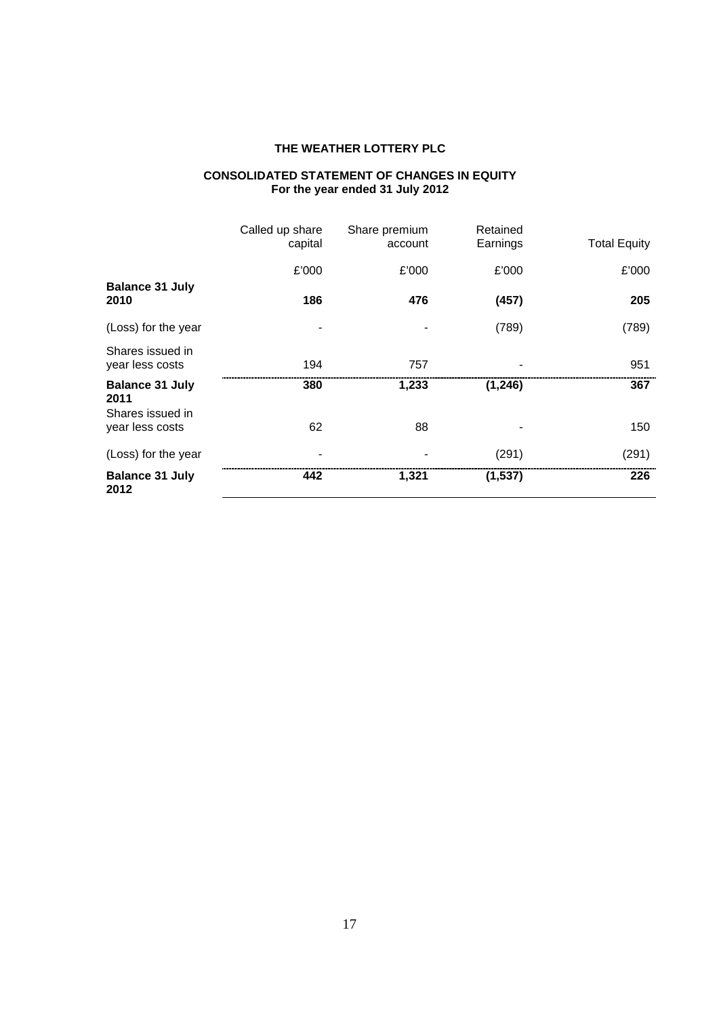#### **CONSOLIDATED STATEMENT OF CHANGES IN EQUITY For the year ended 31 July 2012**

|                                     | Called up share<br>capital | Share premium<br>account | Retained<br>Earnings | <b>Total Equity</b> |
|-------------------------------------|----------------------------|--------------------------|----------------------|---------------------|
|                                     | £'000                      | £'000                    | £'000                | £'000               |
| <b>Balance 31 July</b><br>2010      | 186                        | 476                      | (457)                | 205                 |
| (Loss) for the year                 |                            |                          | (789)                | (789)               |
| Shares issued in<br>year less costs | 194                        | 757                      |                      | 951                 |
| <b>Balance 31 July</b><br>2011      | 380                        | 1,233                    | (1, 246)             | 367                 |
| Shares issued in<br>year less costs | 62                         | 88                       |                      | 150                 |
| (Loss) for the year                 |                            |                          | (291)                | (291)               |
| <b>Balance 31 July</b><br>2012      | 442                        | 1,321                    | (1, 537)             | 226                 |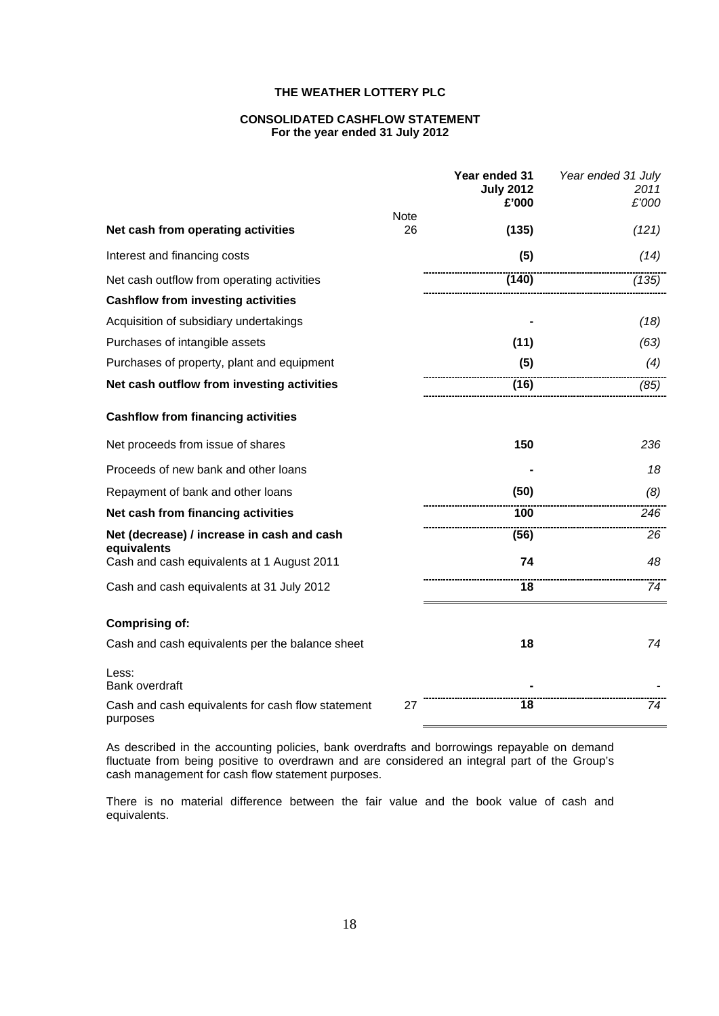# **CONSOLIDATED CASHFLOW STATEMENT For the year ended 31 July 2012**

|                                                               |            | Year ended 31<br><b>July 2012</b><br>£'000 | Year ended 31 July<br>2011<br>£'000 |
|---------------------------------------------------------------|------------|--------------------------------------------|-------------------------------------|
| Net cash from operating activities                            | Note<br>26 | (135)                                      | (121)                               |
|                                                               |            |                                            |                                     |
| Interest and financing costs                                  |            | (5)                                        | (14)                                |
| Net cash outflow from operating activities                    |            | (140)                                      | (135)                               |
| <b>Cashflow from investing activities</b>                     |            |                                            |                                     |
| Acquisition of subsidiary undertakings                        |            |                                            | (18)                                |
| Purchases of intangible assets                                |            | (11)                                       | (63)                                |
| Purchases of property, plant and equipment                    |            | (5)                                        | (4)                                 |
| Net cash outflow from investing activities                    |            | (16)                                       | (85)                                |
| <b>Cashflow from financing activities</b>                     |            |                                            |                                     |
| Net proceeds from issue of shares                             |            | 150                                        | 236                                 |
| Proceeds of new bank and other loans                          |            |                                            | 18                                  |
| Repayment of bank and other loans                             |            | (50)                                       | (8)                                 |
| Net cash from financing activities                            |            | 100                                        | 246                                 |
| Net (decrease) / increase in cash and cash<br>equivalents     |            | (56)                                       | 26                                  |
| Cash and cash equivalents at 1 August 2011                    |            | 74                                         | 48                                  |
| Cash and cash equivalents at 31 July 2012                     |            | 18                                         | 74                                  |
| <b>Comprising of:</b>                                         |            |                                            |                                     |
| Cash and cash equivalents per the balance sheet               |            | 18                                         | 74                                  |
| Less:<br>Bank overdraft                                       |            |                                            |                                     |
| Cash and cash equivalents for cash flow statement<br>purposes | 27         | 18                                         | 74                                  |

As described in the accounting policies, bank overdrafts and borrowings repayable on demand fluctuate from being positive to overdrawn and are considered an integral part of the Group's cash management for cash flow statement purposes.

There is no material difference between the fair value and the book value of cash and equivalents.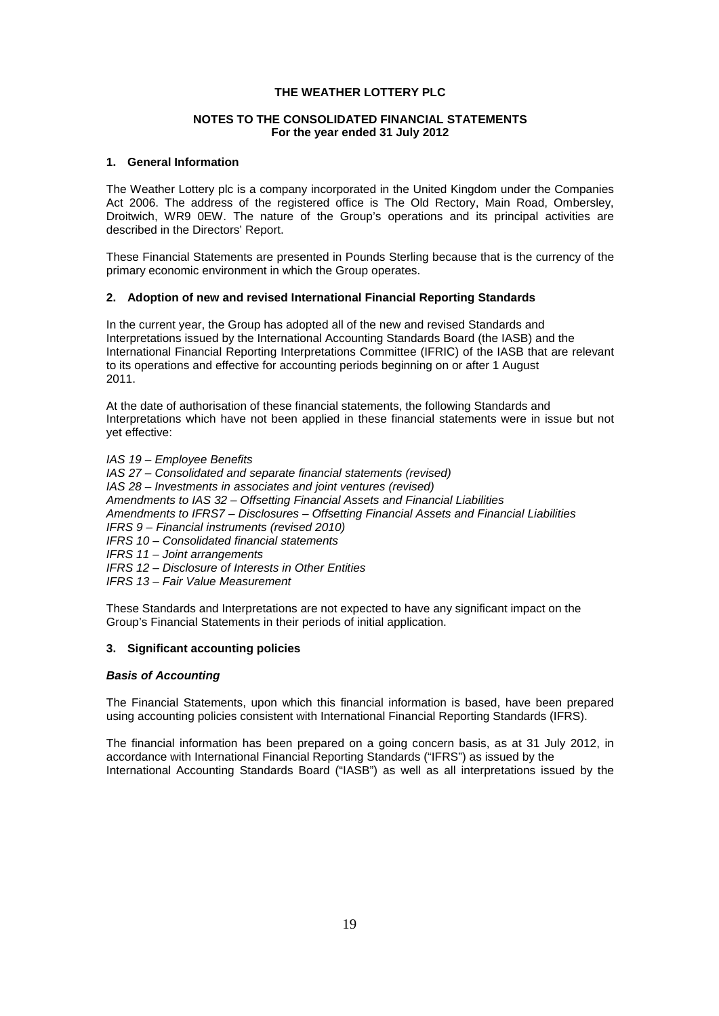# **NOTES TO THE CONSOLIDATED FINANCIAL STATEMENTS For the year ended 31 July 2012**

# **1. General Information**

The Weather Lottery plc is a company incorporated in the United Kingdom under the Companies Act 2006. The address of the registered office is The Old Rectory, Main Road, Ombersley, Droitwich, WR9 0EW. The nature of the Group's operations and its principal activities are described in the Directors' Report.

These Financial Statements are presented in Pounds Sterling because that is the currency of the primary economic environment in which the Group operates.

# **2. Adoption of new and revised International Financial Reporting Standards**

In the current year, the Group has adopted all of the new and revised Standards and Interpretations issued by the International Accounting Standards Board (the IASB) and the International Financial Reporting Interpretations Committee (IFRIC) of the IASB that are relevant to its operations and effective for accounting periods beginning on or after 1 August 2011.

At the date of authorisation of these financial statements, the following Standards and Interpretations which have not been applied in these financial statements were in issue but not yet effective:

*IAS 19 – Employee Benefits IAS 27 – Consolidated and separate financial statements (revised) IAS 28 – Investments in associates and joint ventures (revised) Amendments to IAS 32 – Offsetting Financial Assets and Financial Liabilities Amendments to IFRS7 – Disclosures – Offsetting Financial Assets and Financial Liabilities IFRS 9 – Financial instruments (revised 2010) IFRS 10 – Consolidated financial statements IFRS 11 – Joint arrangements IFRS 12 – Disclosure of Interests in Other Entities*

*IFRS 13 – Fair Value Measurement*

These Standards and Interpretations are not expected to have any significant impact on the Group's Financial Statements in their periods of initial application.

#### **3. Significant accounting policies**

#### *Basis of Accounting*

The Financial Statements, upon which this financial information is based, have been prepared using accounting policies consistent with International Financial Reporting Standards (IFRS).

The financial information has been prepared on a going concern basis, as at 31 July 2012, in accordance with International Financial Reporting Standards ("IFRS") as issued by the International Accounting Standards Board ("IASB") as well as all interpretations issued by the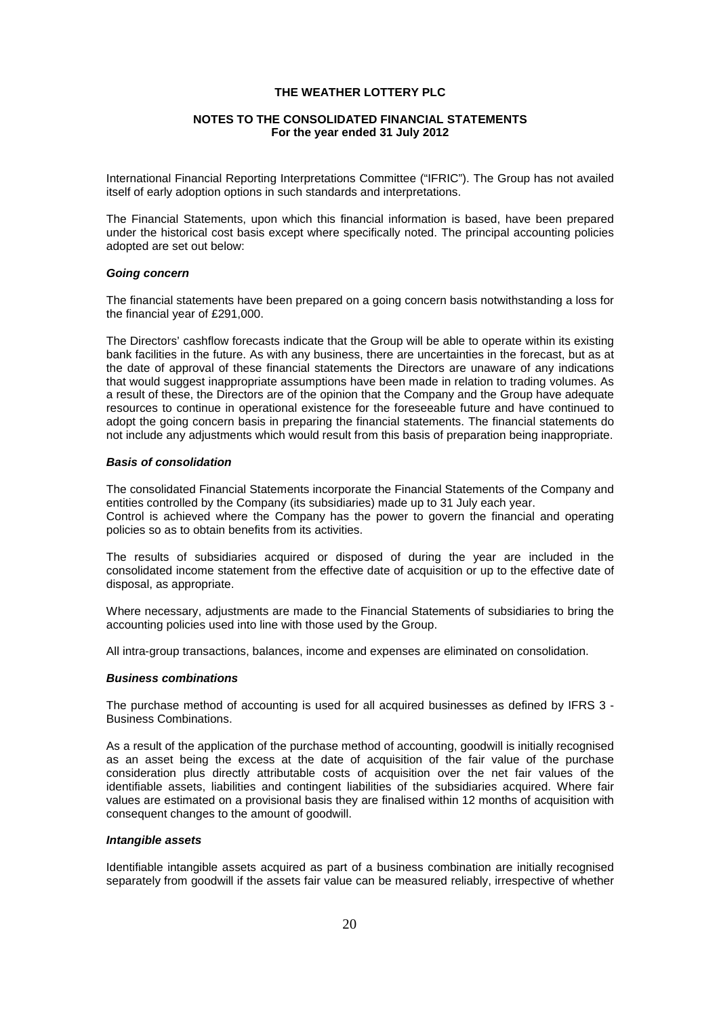# **NOTES TO THE CONSOLIDATED FINANCIAL STATEMENTS For the year ended 31 July 2012**

International Financial Reporting Interpretations Committee ("IFRIC"). The Group has not availed itself of early adoption options in such standards and interpretations.

The Financial Statements, upon which this financial information is based, have been prepared under the historical cost basis except where specifically noted. The principal accounting policies adopted are set out below:

#### *Going concern*

The financial statements have been prepared on a going concern basis notwithstanding a loss for the financial year of £291,000.

The Directors' cashflow forecasts indicate that the Group will be able to operate within its existing bank facilities in the future. As with any business, there are uncertainties in the forecast, but as at the date of approval of these financial statements the Directors are unaware of any indications that would suggest inappropriate assumptions have been made in relation to trading volumes. As a result of these, the Directors are of the opinion that the Company and the Group have adequate resources to continue in operational existence for the foreseeable future and have continued to adopt the going concern basis in preparing the financial statements. The financial statements do not include any adjustments which would result from this basis of preparation being inappropriate.

# *Basis of consolidation*

The consolidated Financial Statements incorporate the Financial Statements of the Company and entities controlled by the Company (its subsidiaries) made up to 31 July each year. Control is achieved where the Company has the power to govern the financial and operating policies so as to obtain benefits from its activities.

The results of subsidiaries acquired or disposed of during the year are included in the consolidated income statement from the effective date of acquisition or up to the effective date of disposal, as appropriate.

Where necessary, adjustments are made to the Financial Statements of subsidiaries to bring the accounting policies used into line with those used by the Group.

All intra-group transactions, balances, income and expenses are eliminated on consolidation.

# *Business combinations*

The purchase method of accounting is used for all acquired businesses as defined by IFRS 3 - Business Combinations.

As a result of the application of the purchase method of accounting, goodwill is initially recognised as an asset being the excess at the date of acquisition of the fair value of the purchase consideration plus directly attributable costs of acquisition over the net fair values of the identifiable assets, liabilities and contingent liabilities of the subsidiaries acquired. Where fair values are estimated on a provisional basis they are finalised within 12 months of acquisition with consequent changes to the amount of goodwill.

# *Intangible assets*

Identifiable intangible assets acquired as part of a business combination are initially recognised separately from goodwill if the assets fair value can be measured reliably, irrespective of whether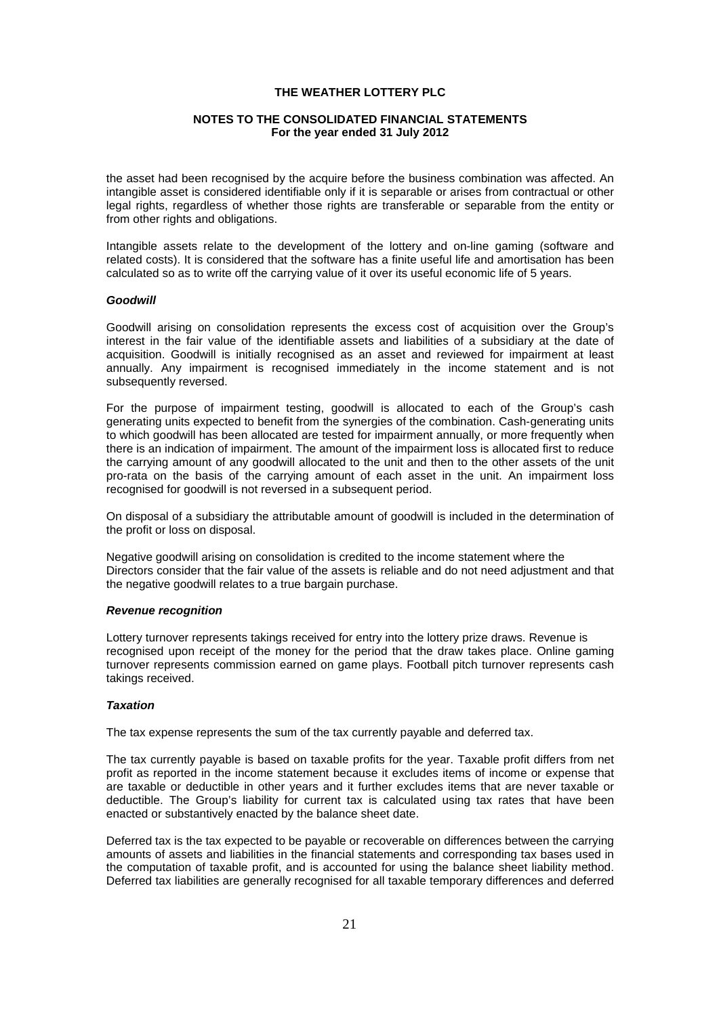# **NOTES TO THE CONSOLIDATED FINANCIAL STATEMENTS For the year ended 31 July 2012**

the asset had been recognised by the acquire before the business combination was affected. An intangible asset is considered identifiable only if it is separable or arises from contractual or other legal rights, regardless of whether those rights are transferable or separable from the entity or from other rights and obligations.

Intangible assets relate to the development of the lottery and on-line gaming (software and related costs). It is considered that the software has a finite useful life and amortisation has been calculated so as to write off the carrying value of it over its useful economic life of 5 years.

# *Goodwill*

Goodwill arising on consolidation represents the excess cost of acquisition over the Group's interest in the fair value of the identifiable assets and liabilities of a subsidiary at the date of acquisition. Goodwill is initially recognised as an asset and reviewed for impairment at least annually. Any impairment is recognised immediately in the income statement and is not subsequently reversed.

For the purpose of impairment testing, goodwill is allocated to each of the Group's cash generating units expected to benefit from the synergies of the combination. Cash-generating units to which goodwill has been allocated are tested for impairment annually, or more frequently when there is an indication of impairment. The amount of the impairment loss is allocated first to reduce the carrying amount of any goodwill allocated to the unit and then to the other assets of the unit pro-rata on the basis of the carrying amount of each asset in the unit. An impairment loss recognised for goodwill is not reversed in a subsequent period.

On disposal of a subsidiary the attributable amount of goodwill is included in the determination of the profit or loss on disposal.

Negative goodwill arising on consolidation is credited to the income statement where the Directors consider that the fair value of the assets is reliable and do not need adjustment and that the negative goodwill relates to a true bargain purchase.

#### *Revenue recognition*

Lottery turnover represents takings received for entry into the lottery prize draws. Revenue is recognised upon receipt of the money for the period that the draw takes place. Online gaming turnover represents commission earned on game plays. Football pitch turnover represents cash takings received.

#### *Taxation*

The tax expense represents the sum of the tax currently payable and deferred tax.

The tax currently payable is based on taxable profits for the year. Taxable profit differs from net profit as reported in the income statement because it excludes items of income or expense that are taxable or deductible in other years and it further excludes items that are never taxable or deductible. The Group's liability for current tax is calculated using tax rates that have been enacted or substantively enacted by the balance sheet date.

Deferred tax is the tax expected to be payable or recoverable on differences between the carrying amounts of assets and liabilities in the financial statements and corresponding tax bases used in the computation of taxable profit, and is accounted for using the balance sheet liability method. Deferred tax liabilities are generally recognised for all taxable temporary differences and deferred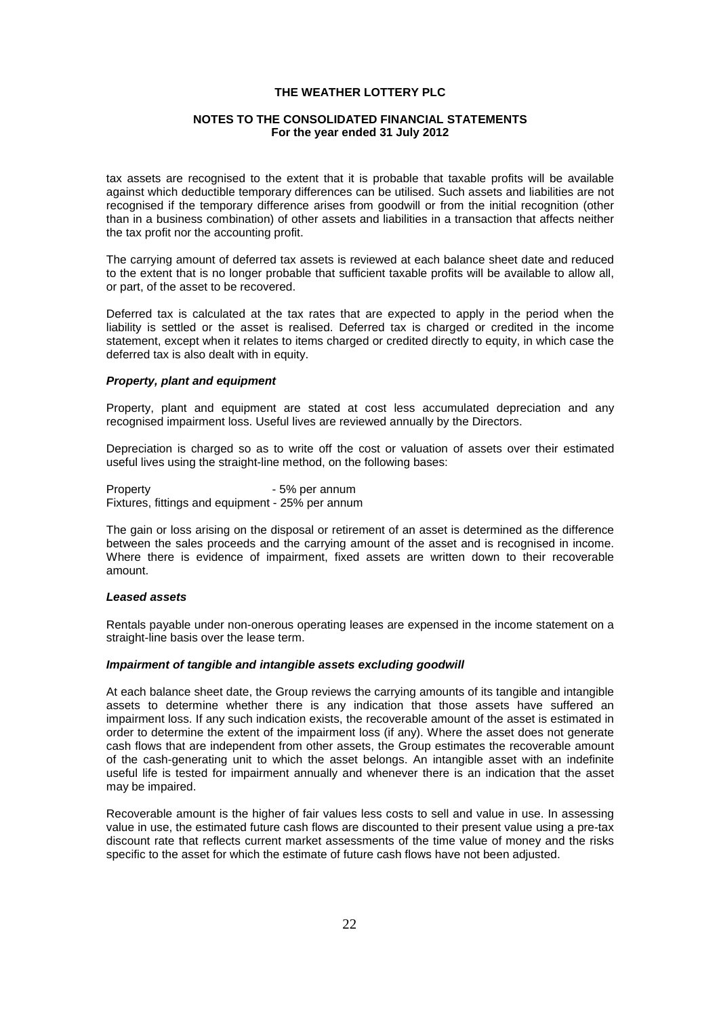# **NOTES TO THE CONSOLIDATED FINANCIAL STATEMENTS For the year ended 31 July 2012**

tax assets are recognised to the extent that it is probable that taxable profits will be available against which deductible temporary differences can be utilised. Such assets and liabilities are not recognised if the temporary difference arises from goodwill or from the initial recognition (other than in a business combination) of other assets and liabilities in a transaction that affects neither the tax profit nor the accounting profit.

The carrying amount of deferred tax assets is reviewed at each balance sheet date and reduced to the extent that is no longer probable that sufficient taxable profits will be available to allow all, or part, of the asset to be recovered.

Deferred tax is calculated at the tax rates that are expected to apply in the period when the liability is settled or the asset is realised. Deferred tax is charged or credited in the income statement, except when it relates to items charged or credited directly to equity, in which case the deferred tax is also dealt with in equity.

# *Property, plant and equipment*

Property, plant and equipment are stated at cost less accumulated depreciation and any recognised impairment loss. Useful lives are reviewed annually by the Directors.

Depreciation is charged so as to write off the cost or valuation of assets over their estimated useful lives using the straight-line method, on the following bases:

Property **- 5% per annum** Fixtures, fittings and equipment - 25% per annum

The gain or loss arising on the disposal or retirement of an asset is determined as the difference between the sales proceeds and the carrying amount of the asset and is recognised in income. Where there is evidence of impairment, fixed assets are written down to their recoverable amount.

### *Leased assets*

Rentals payable under non-onerous operating leases are expensed in the income statement on a straight-line basis over the lease term.

# *Impairment of tangible and intangible assets excluding goodwill*

At each balance sheet date, the Group reviews the carrying amounts of its tangible and intangible assets to determine whether there is any indication that those assets have suffered an impairment loss. If any such indication exists, the recoverable amount of the asset is estimated in order to determine the extent of the impairment loss (if any). Where the asset does not generate cash flows that are independent from other assets, the Group estimates the recoverable amount of the cash-generating unit to which the asset belongs. An intangible asset with an indefinite useful life is tested for impairment annually and whenever there is an indication that the asset may be impaired.

Recoverable amount is the higher of fair values less costs to sell and value in use. In assessing value in use, the estimated future cash flows are discounted to their present value using a pre-tax discount rate that reflects current market assessments of the time value of money and the risks specific to the asset for which the estimate of future cash flows have not been adjusted.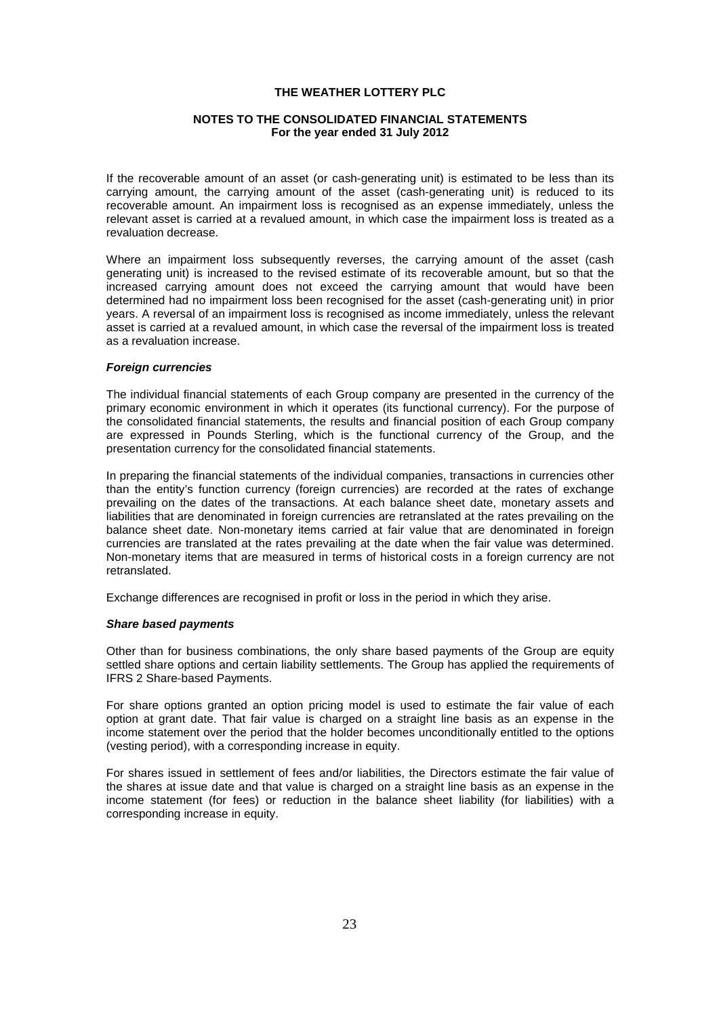# **NOTES TO THE CONSOLIDATED FINANCIAL STATEMENTS For the year ended 31 July 2012**

If the recoverable amount of an asset (or cash-generating unit) is estimated to be less than its carrying amount, the carrying amount of the asset (cash-generating unit) is reduced to its recoverable amount. An impairment loss is recognised as an expense immediately, unless the relevant asset is carried at a revalued amount, in which case the impairment loss is treated as a revaluation decrease.

Where an impairment loss subsequently reverses, the carrying amount of the asset (cash generating unit) is increased to the revised estimate of its recoverable amount, but so that the increased carrying amount does not exceed the carrying amount that would have been determined had no impairment loss been recognised for the asset (cash-generating unit) in prior years. A reversal of an impairment loss is recognised as income immediately, unless the relevant asset is carried at a revalued amount, in which case the reversal of the impairment loss is treated as a revaluation increase.

#### *Foreign currencies*

The individual financial statements of each Group company are presented in the currency of the primary economic environment in which it operates (its functional currency). For the purpose of the consolidated financial statements, the results and financial position of each Group company are expressed in Pounds Sterling, which is the functional currency of the Group, and the presentation currency for the consolidated financial statements.

In preparing the financial statements of the individual companies, transactions in currencies other than the entity's function currency (foreign currencies) are recorded at the rates of exchange prevailing on the dates of the transactions. At each balance sheet date, monetary assets and liabilities that are denominated in foreign currencies are retranslated at the rates prevailing on the balance sheet date. Non-monetary items carried at fair value that are denominated in foreign currencies are translated at the rates prevailing at the date when the fair value was determined. Non-monetary items that are measured in terms of historical costs in a foreign currency are not retranslated.

Exchange differences are recognised in profit or loss in the period in which they arise.

#### *Share based payments*

Other than for business combinations, the only share based payments of the Group are equity settled share options and certain liability settlements. The Group has applied the requirements of IFRS 2 Share-based Payments.

For share options granted an option pricing model is used to estimate the fair value of each option at grant date. That fair value is charged on a straight line basis as an expense in the income statement over the period that the holder becomes unconditionally entitled to the options (vesting period), with a corresponding increase in equity.

For shares issued in settlement of fees and/or liabilities, the Directors estimate the fair value of the shares at issue date and that value is charged on a straight line basis as an expense in the income statement (for fees) or reduction in the balance sheet liability (for liabilities) with a corresponding increase in equity.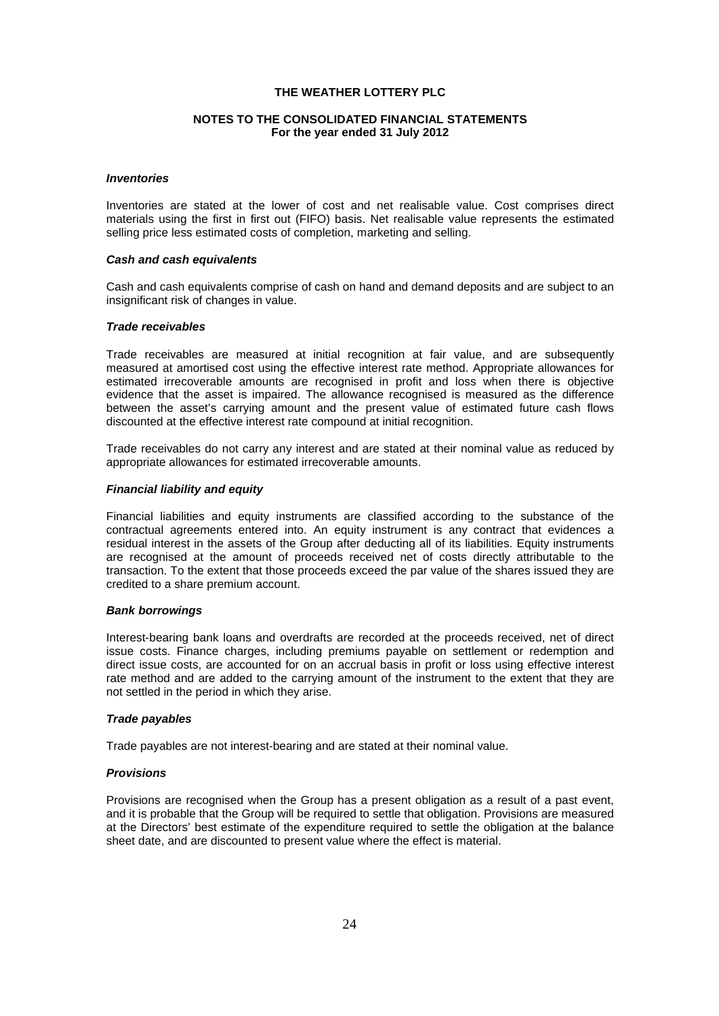# **NOTES TO THE CONSOLIDATED FINANCIAL STATEMENTS For the year ended 31 July 2012**

#### *Inventories*

Inventories are stated at the lower of cost and net realisable value. Cost comprises direct materials using the first in first out (FIFO) basis. Net realisable value represents the estimated selling price less estimated costs of completion, marketing and selling.

### *Cash and cash equivalents*

Cash and cash equivalents comprise of cash on hand and demand deposits and are subject to an insignificant risk of changes in value.

#### *Trade receivables*

Trade receivables are measured at initial recognition at fair value, and are subsequently measured at amortised cost using the effective interest rate method. Appropriate allowances for estimated irrecoverable amounts are recognised in profit and loss when there is objective evidence that the asset is impaired. The allowance recognised is measured as the difference between the asset's carrying amount and the present value of estimated future cash flows discounted at the effective interest rate compound at initial recognition.

Trade receivables do not carry any interest and are stated at their nominal value as reduced by appropriate allowances for estimated irrecoverable amounts.

# *Financial liability and equity*

Financial liabilities and equity instruments are classified according to the substance of the contractual agreements entered into. An equity instrument is any contract that evidences a residual interest in the assets of the Group after deducting all of its liabilities. Equity instruments are recognised at the amount of proceeds received net of costs directly attributable to the transaction. To the extent that those proceeds exceed the par value of the shares issued they are credited to a share premium account.

#### *Bank borrowings*

Interest-bearing bank loans and overdrafts are recorded at the proceeds received, net of direct issue costs. Finance charges, including premiums payable on settlement or redemption and direct issue costs, are accounted for on an accrual basis in profit or loss using effective interest rate method and are added to the carrying amount of the instrument to the extent that they are not settled in the period in which they arise.

# *Trade payables*

Trade payables are not interest-bearing and are stated at their nominal value.

#### *Provisions*

Provisions are recognised when the Group has a present obligation as a result of a past event, and it is probable that the Group will be required to settle that obligation. Provisions are measured at the Directors' best estimate of the expenditure required to settle the obligation at the balance sheet date, and are discounted to present value where the effect is material.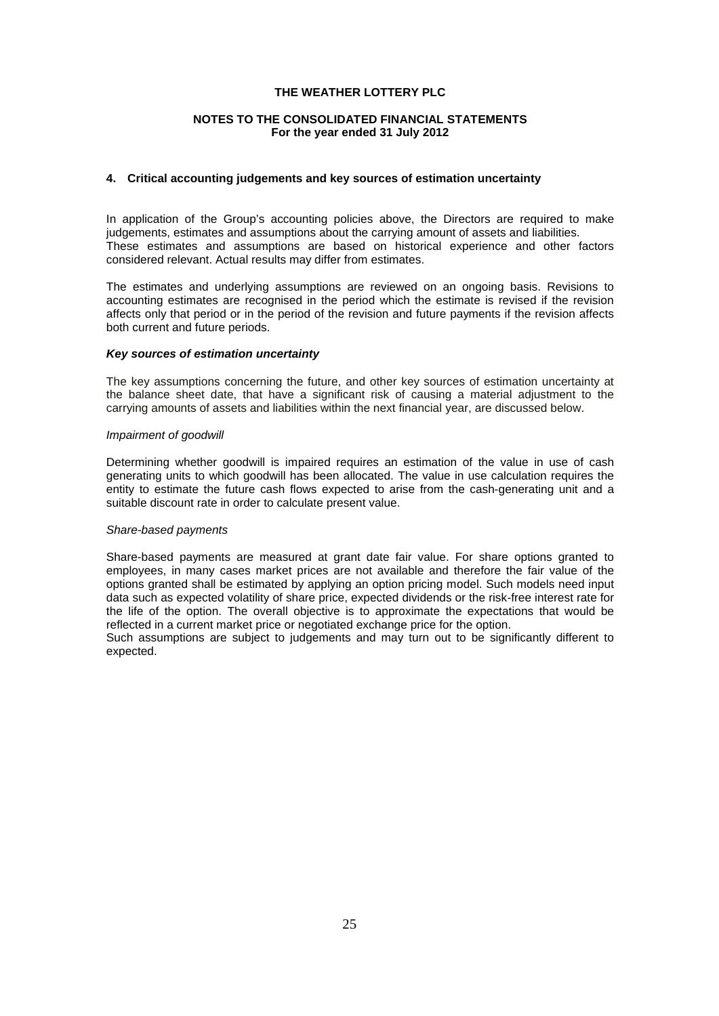# **NOTES TO THE CONSOLIDATED FINANCIAL STATEMENTS For the year ended 31 July 2012**

# **4. Critical accounting judgements and key sources of estimation uncertainty**

In application of the Group's accounting policies above, the Directors are required to make judgements, estimates and assumptions about the carrying amount of assets and liabilities. These estimates and assumptions are based on historical experience and other factors considered relevant. Actual results may differ from estimates.

The estimates and underlying assumptions are reviewed on an ongoing basis. Revisions to accounting estimates are recognised in the period which the estimate is revised if the revision affects only that period or in the period of the revision and future payments if the revision affects both current and future periods.

#### *Key sources of estimation uncertainty*

The key assumptions concerning the future, and other key sources of estimation uncertainty at the balance sheet date, that have a significant risk of causing a material adjustment to the carrying amounts of assets and liabilities within the next financial year, are discussed below.

#### *Impairment of goodwill*

Determining whether goodwill is impaired requires an estimation of the value in use of cash generating units to which goodwill has been allocated. The value in use calculation requires the entity to estimate the future cash flows expected to arise from the cash-generating unit and a suitable discount rate in order to calculate present value.

#### *Share-based payments*

Share-based payments are measured at grant date fair value. For share options granted to employees, in many cases market prices are not available and therefore the fair value of the options granted shall be estimated by applying an option pricing model. Such models need input data such as expected volatility of share price, expected dividends or the risk-free interest rate for the life of the option. The overall objective is to approximate the expectations that would be reflected in a current market price or negotiated exchange price for the option.

Such assumptions are subject to judgements and may turn out to be significantly different to expected.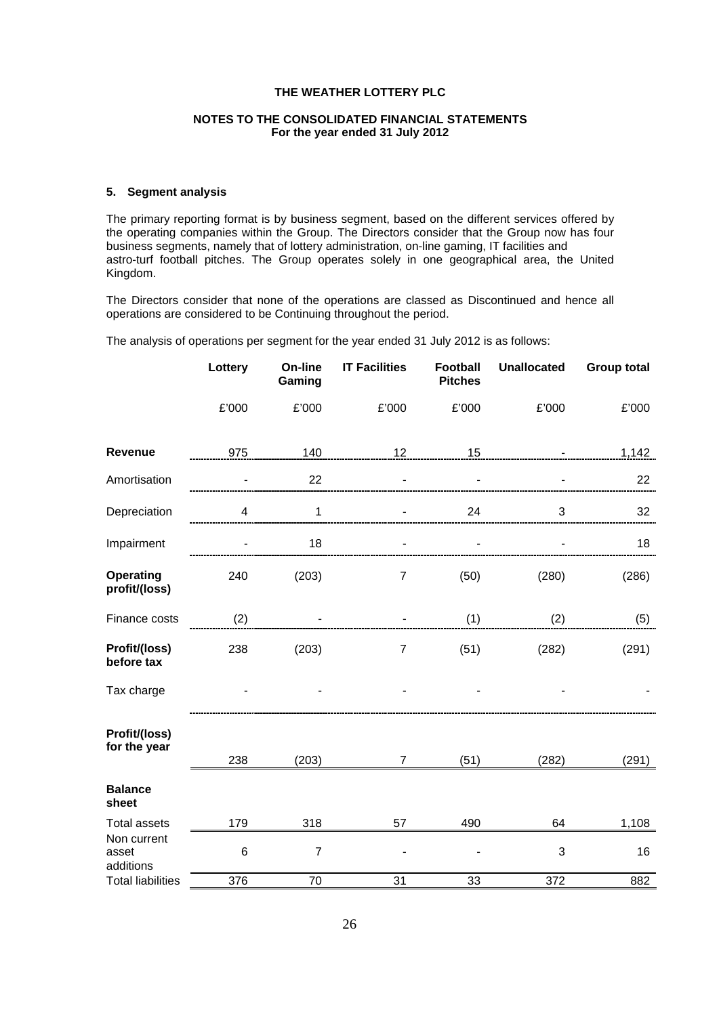# **NOTES TO THE CONSOLIDATED FINANCIAL STATEMENTS For the year ended 31 July 2012**

# **5. Segment analysis**

The primary reporting format is by business segment, based on the different services offered by the operating companies within the Group. The Directors consider that the Group now has four business segments, namely that of lottery administration, on-line gaming, IT facilities and astro-turf football pitches. The Group operates solely in one geographical area, the United Kingdom.

The Directors consider that none of the operations are classed as Discontinued and hence all operations are considered to be Continuing throughout the period.

The analysis of operations per segment for the year ended 31 July 2012 is as follows:

|                                   | Lottery | On-line<br>Gaming | <b>IT Facilities</b> | <b>Football</b><br><b>Pitches</b> | <b>Unallocated</b> | <b>Group total</b> |
|-----------------------------------|---------|-------------------|----------------------|-----------------------------------|--------------------|--------------------|
|                                   | £'000   | £'000             | £'000                | £'000                             | £'000              | £'000              |
| Revenue                           | 975     | 140               | 12                   | 15                                |                    | 1,142              |
| Amortisation                      |         | 22                |                      |                                   |                    | 22                 |
| Depreciation                      | 4       | 1                 |                      | 24                                | 3                  | 32                 |
| Impairment                        |         | 18                |                      |                                   |                    | 18                 |
| <b>Operating</b><br>profit/(loss) | 240     | (203)             | $\overline{7}$       | (50)                              | (280)              | (286)              |
| Finance costs                     | (2)     |                   |                      | (1)                               | (2)                | (5)                |
| Profit/(loss)<br>before tax       | 238     | (203)             | $\overline{7}$       | (51)                              | (282)              | (291)              |
| Tax charge                        |         |                   |                      |                                   |                    |                    |
| Profit/(loss)<br>for the year     | 238     | (203)             | $\overline{7}$       | (51)                              | (282)              | (291)              |
| <b>Balance</b><br>sheet           |         |                   |                      |                                   |                    |                    |
| <b>Total assets</b>               | 179     | 318               | 57                   | 490                               | 64                 | 1,108              |
| Non current<br>asset<br>additions | $\,6$   | $\overline{7}$    |                      |                                   | 3                  | 16                 |
| <b>Total liabilities</b>          | 376     | 70                | $\overline{31}$      | 33                                | $\overline{372}$   | 882                |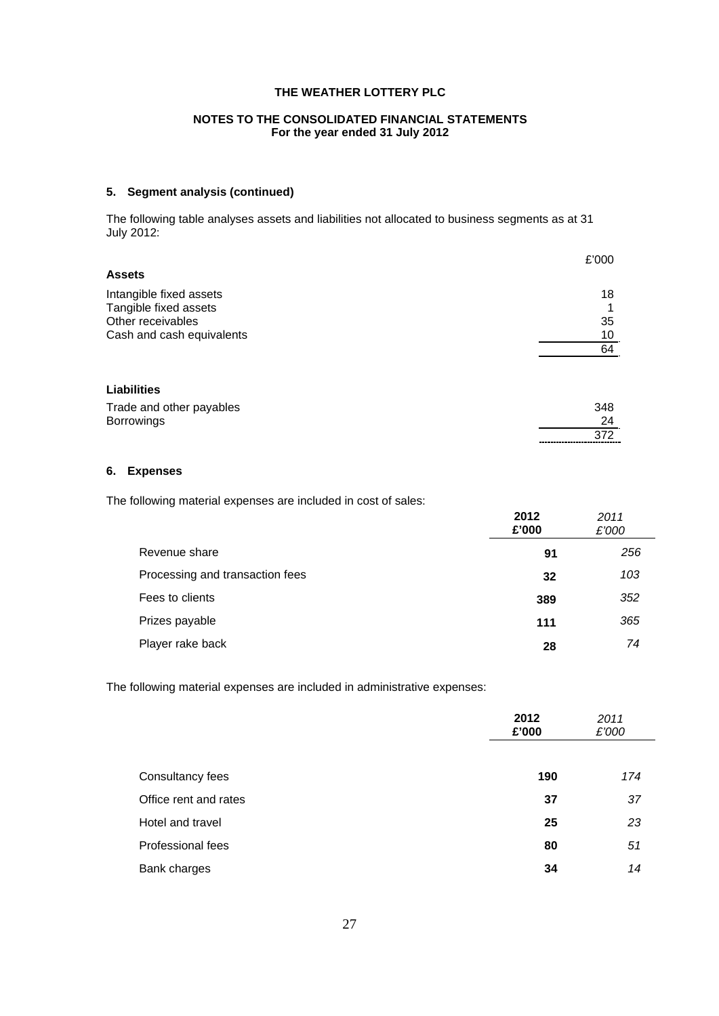# **NOTES TO THE CONSOLIDATED FINANCIAL STATEMENTS For the year ended 31 July 2012**

# **5. Segment analysis (continued)**

The following table analyses assets and liabilities not allocated to business segments as at 31 July 2012:

|                           | £'000 |
|---------------------------|-------|
| <b>Assets</b>             |       |
| Intangible fixed assets   | 18    |
| Tangible fixed assets     |       |
| Other receivables         | 35    |
| Cash and cash equivalents | 10    |
|                           | 64    |
|                           |       |

# Trade and other payables 348<br>Borrowings 348 **Borrowings**

# **6. Expenses**

**Liabilities**

The following material expenses are included in cost of sales:

|                                 | 2012<br>£'000 | 2011<br>£'000 |
|---------------------------------|---------------|---------------|
| Revenue share                   | 91            | 256           |
| Processing and transaction fees | 32            | 103           |
| Fees to clients                 | 389           | 352           |
| Prizes payable                  | 111           | 365           |
| Player rake back                | 28            | 74            |

372

The following material expenses are included in administrative expenses:

|                       | 2012<br>£'000 | 2011<br>£'000 |
|-----------------------|---------------|---------------|
|                       |               |               |
| Consultancy fees      | 190           | 174           |
| Office rent and rates | 37            | 37            |
| Hotel and travel      | 25            | 23            |
| Professional fees     | 80            | 51            |
| Bank charges          | 34            | 14            |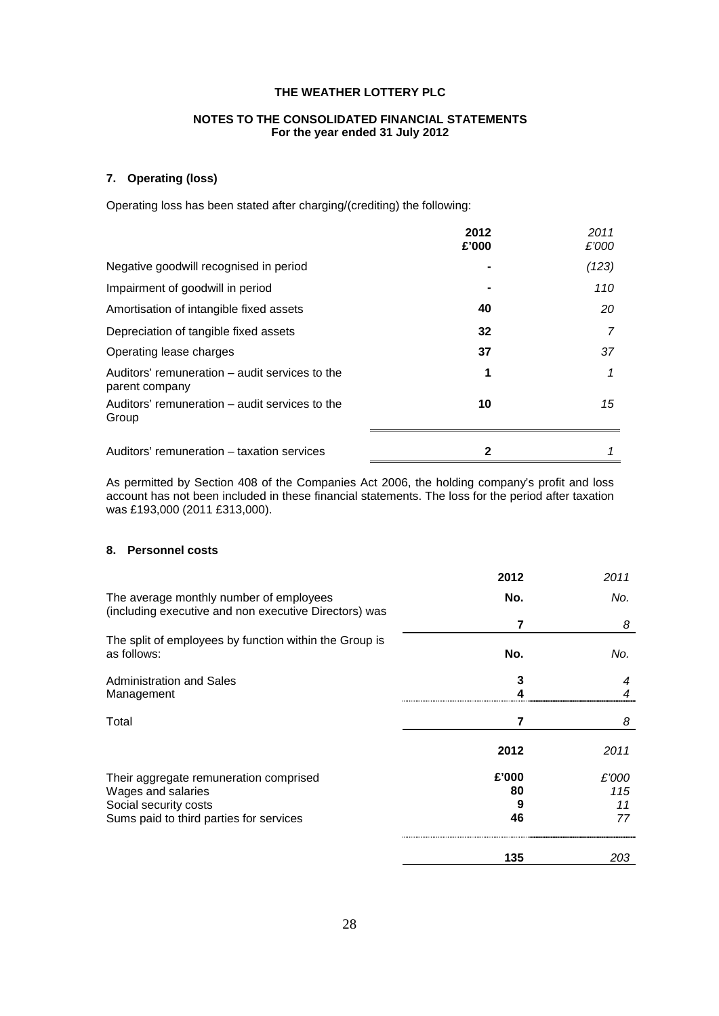# **NOTES TO THE CONSOLIDATED FINANCIAL STATEMENTS For the year ended 31 July 2012**

# **7. Operating (loss)**

Operating loss has been stated after charging/(crediting) the following:

|                                                                  | 2012<br>£'000 | 2011<br>£'000 |
|------------------------------------------------------------------|---------------|---------------|
| Negative goodwill recognised in period                           |               | (123)         |
| Impairment of goodwill in period                                 |               | 110           |
| Amortisation of intangible fixed assets                          | 40            | 20            |
| Depreciation of tangible fixed assets                            | 32            | 7             |
| Operating lease charges                                          | 37            | 37            |
| Auditors' remuneration – audit services to the<br>parent company | 1             | 1             |
| Auditors' remuneration – audit services to the<br>Group          | 10            | 15            |
| Auditors' remuneration - taxation services                       | 2             | 1             |

As permitted by Section 408 of the Companies Act 2006, the holding company's profit and loss account has not been included in these financial statements. The loss for the period after taxation was £193,000 (2011 £313,000).

# **8. Personnel costs**

|                                                                                                  | 2012  | 2011  |
|--------------------------------------------------------------------------------------------------|-------|-------|
| The average monthly number of employees<br>(including executive and non executive Directors) was | No.   | No.   |
|                                                                                                  | 7     | 8     |
| The split of employees by function within the Group is<br>as follows:                            | No.   | No.   |
| Administration and Sales                                                                         | 3     | 4     |
| Management                                                                                       | Δ     | 4     |
| Total                                                                                            | 7     | 8     |
|                                                                                                  | 2012  | 2011  |
| Their aggregate remuneration comprised                                                           | £'000 | £'000 |
| Wages and salaries                                                                               | 80    | 115   |
| Social security costs                                                                            | 9     | 11    |
| Sums paid to third parties for services                                                          | 46    | 77    |
|                                                                                                  | 135   | 203   |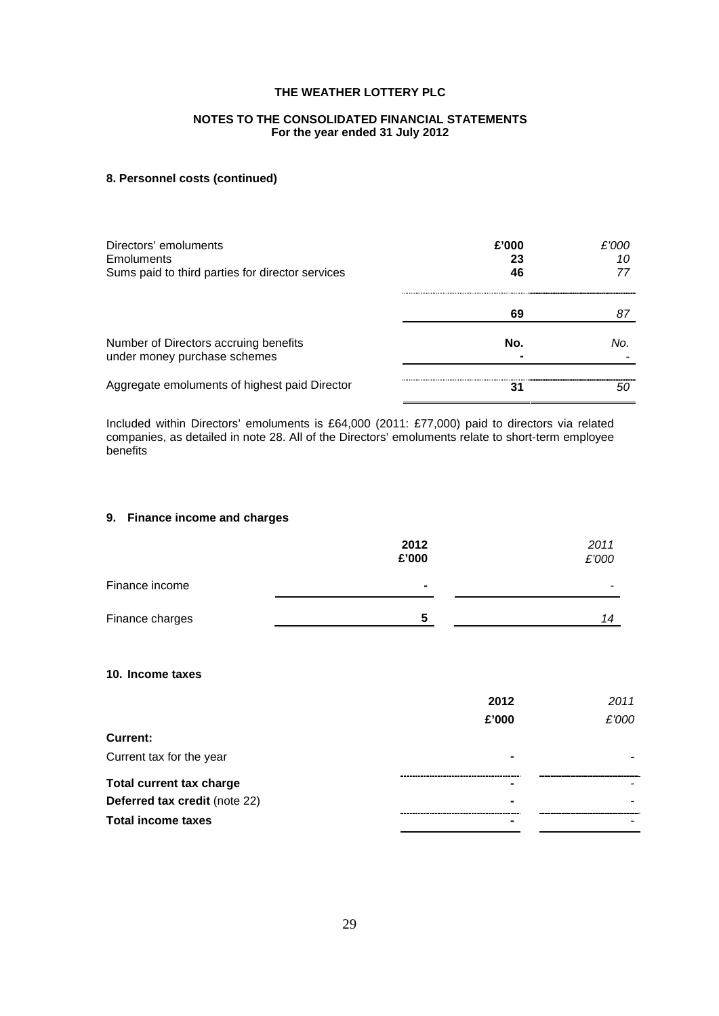# **NOTES TO THE CONSOLIDATED FINANCIAL STATEMENTS For the year ended 31 July 2012**

# **8. Personnel costs (continued)**

| Directors' emoluments<br><b>Emoluments</b><br>Sums paid to third parties for director services | £'000<br>23<br>46 | £'000<br>10 |
|------------------------------------------------------------------------------------------------|-------------------|-------------|
|                                                                                                | 69                |             |
| Number of Directors accruing benefits<br>under money purchase schemes                          | No.               | No.         |
| Aggregate emoluments of highest paid Director                                                  | 31                | 50          |

Included within Directors' emoluments is £64,000 (2011: £77,000) paid to directors via related companies, as detailed in note 28. All of the Directors' emoluments relate to short-term employee benefits

# **9. Finance income and charges**

|                 | 2012<br>£'000  | 2011<br>£'000 |
|-----------------|----------------|---------------|
| Finance income  | $\blacksquare$ |               |
| Finance charges | 5              | 14            |

#### **10. Income taxes**

|                                 | 2012  | 2011  |
|---------------------------------|-------|-------|
|                                 | £'000 | £'000 |
| <b>Current:</b>                 |       |       |
| Current tax for the year        | ۰     |       |
| <b>Total current tax charge</b> |       |       |
| Deferred tax credit (note 22)   |       |       |
| <b>Total income taxes</b>       | ۰     |       |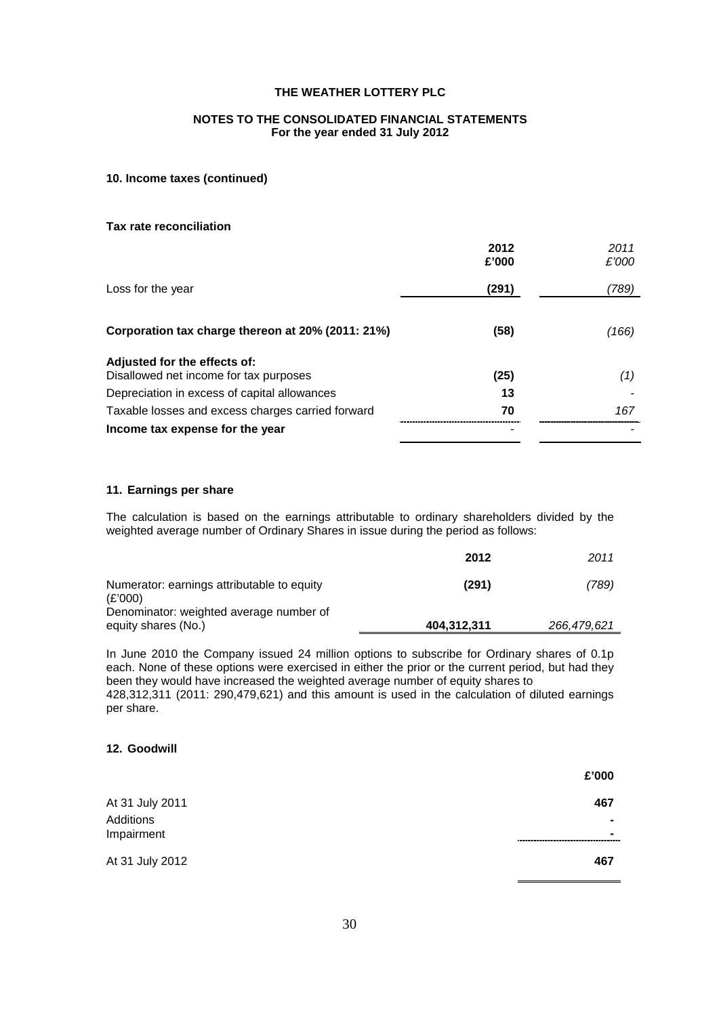# **NOTES TO THE CONSOLIDATED FINANCIAL STATEMENTS For the year ended 31 July 2012**

# **10. Income taxes (continued)**

#### **Tax rate reconciliation**

|                                                                        | 2012<br>£'000 | 2011<br>£'000 |
|------------------------------------------------------------------------|---------------|---------------|
| Loss for the year                                                      | (291)         | (789)         |
| Corporation tax charge thereon at 20% (2011: 21%)                      | (58)          | (166)         |
| Adjusted for the effects of:<br>Disallowed net income for tax purposes | (25)          | (1)           |
| Depreciation in excess of capital allowances                           | 13            |               |
| Taxable losses and excess charges carried forward                      | 70            | 167           |
| Income tax expense for the year                                        |               |               |

# **11. Earnings per share**

The calculation is based on the earnings attributable to ordinary shareholders divided by the weighted average number of Ordinary Shares in issue during the period as follows:

|                                                                | 2012        | 2011        |
|----------------------------------------------------------------|-------------|-------------|
| Numerator: earnings attributable to equity<br>(£'000)          | (291)       | (789)       |
| Denominator: weighted average number of<br>equity shares (No.) | 404,312,311 | 266,479,621 |

In June 2010 the Company issued 24 million options to subscribe for Ordinary shares of 0.1p each. None of these options were exercised in either the prior or the current period, but had they been they would have increased the weighted average number of equity shares to 428,312,311 (2011: 290,479,621) and this amount is used in the calculation of diluted earnings per share.

# **12. Goodwill**

|                         | £'000 |
|-------------------------|-------|
| At 31 July 2011         | 467   |
| Additions<br>Impairment |       |
| At 31 July 2012         | 467   |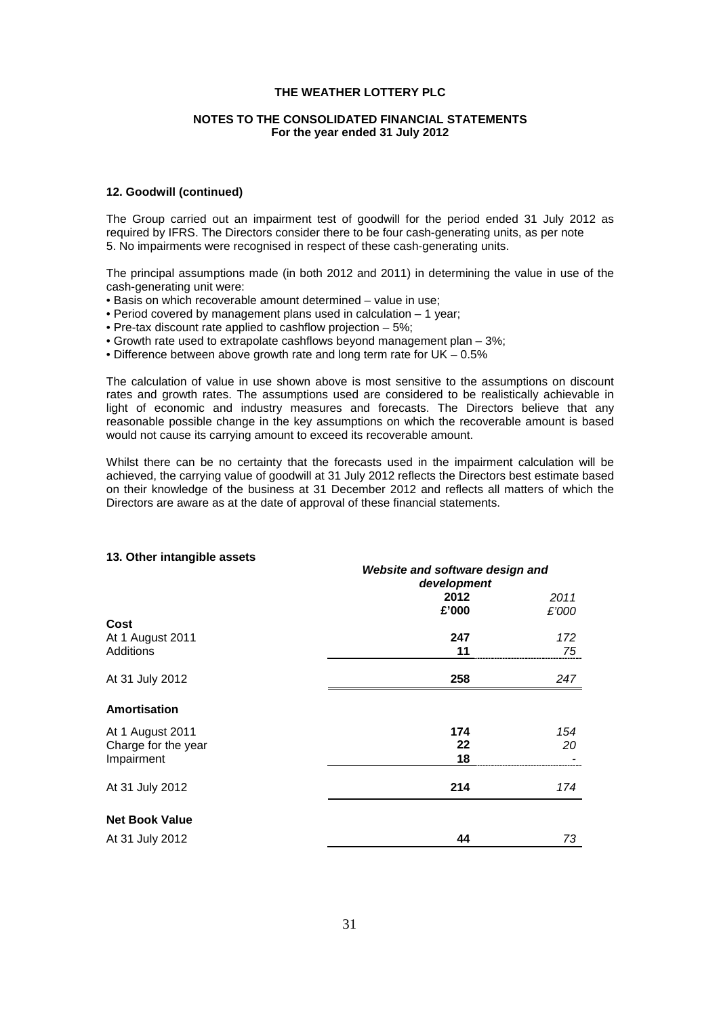# **NOTES TO THE CONSOLIDATED FINANCIAL STATEMENTS For the year ended 31 July 2012**

# **12. Goodwill (continued)**

The Group carried out an impairment test of goodwill for the period ended 31 July 2012 as required by IFRS. The Directors consider there to be four cash-generating units, as per note 5. No impairments were recognised in respect of these cash-generating units.

The principal assumptions made (in both 2012 and 2011) in determining the value in use of the cash-generating unit were:

- Basis on which recoverable amount determined value in use;
- Period covered by management plans used in calculation 1 year;
- Pre-tax discount rate applied to cashflow projection 5%;
- Growth rate used to extrapolate cashflows beyond management plan 3%;
- Difference between above growth rate and long term rate for UK 0.5%

The calculation of value in use shown above is most sensitive to the assumptions on discount rates and growth rates. The assumptions used are considered to be realistically achievable in light of economic and industry measures and forecasts. The Directors believe that any reasonable possible change in the key assumptions on which the recoverable amount is based would not cause its carrying amount to exceed its recoverable amount.

Whilst there can be no certainty that the forecasts used in the impairment calculation will be achieved, the carrying value of goodwill at 31 July 2012 reflects the Directors best estimate based on their knowledge of the business at 31 December 2012 and reflects all matters of which the Directors are aware as at the date of approval of these financial statements.

| ----- -------- <u>-</u> | Website and software design and<br>development |               |
|-------------------------|------------------------------------------------|---------------|
|                         | 2012<br>£'000                                  | 2011<br>£'000 |
| Cost                    |                                                |               |
| At 1 August 2011        | 247                                            | 172           |
| <b>Additions</b>        | 11                                             | 75            |
| At 31 July 2012         | 258                                            | 247           |
| <b>Amortisation</b>     |                                                |               |
| At 1 August 2011        | 174                                            | 154           |
| Charge for the year     | 22                                             | 20            |
| Impairment              | 18                                             |               |
| At 31 July 2012         | 214                                            | 174           |
| <b>Net Book Value</b>   |                                                |               |
| At 31 July 2012         | 44                                             | 73            |

# **13. Other intangible assets**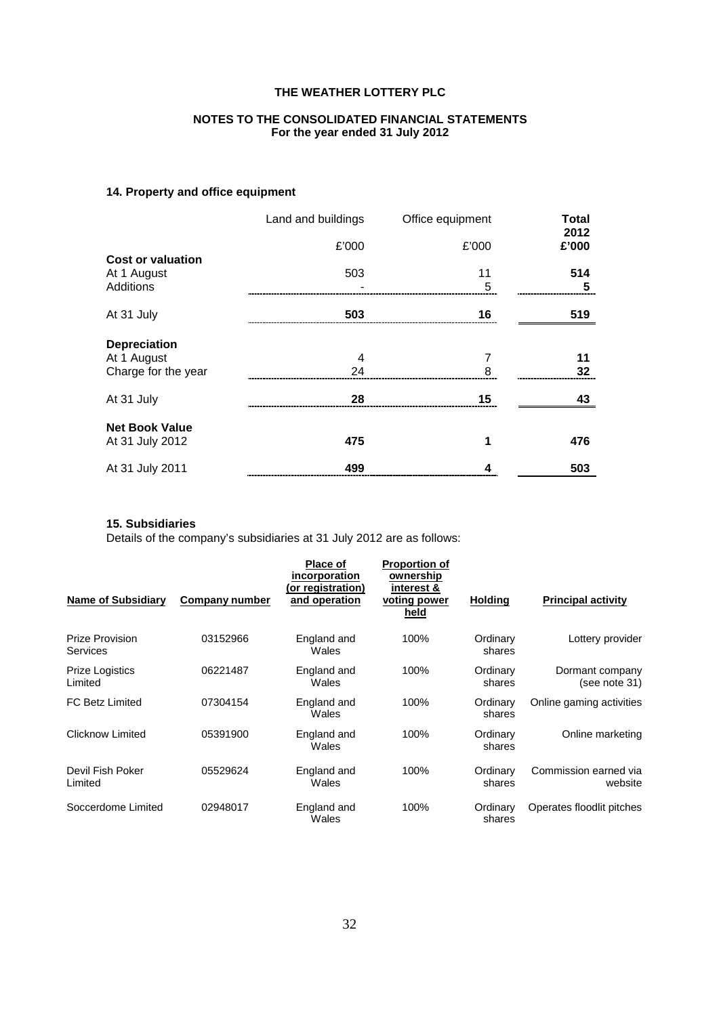# **NOTES TO THE CONSOLIDATED FINANCIAL STATEMENTS For the year ended 31 July 2012**

# **14. Property and office equipment**

|                          | Land and buildings | Office equipment | <b>Total</b><br>2012 |
|--------------------------|--------------------|------------------|----------------------|
|                          | £'000              | £'000            | £'000                |
| <b>Cost or valuation</b> |                    |                  |                      |
| At 1 August              | 503                | 11               | 514                  |
| <b>Additions</b>         |                    | 5                | 5                    |
| At 31 July               | 503                | 16               | 519                  |
| <b>Depreciation</b>      |                    |                  |                      |
| At 1 August              | 4                  | 7                | 11                   |
| Charge for the year      | 24                 | 8                | 32                   |
| At 31 July               | 28                 | 15               | 43                   |
| <b>Net Book Value</b>    |                    |                  |                      |
| At 31 July 2012          | 475                | 1                | 476                  |
| At 31 July 2011          | 499                | 4                | 503                  |

# **15. Subsidiaries**

Details of the company's subsidiaries at 31 July 2012 are as follows:

| <b>Name of Subsidiary</b>          | Company number | <b>Place of</b><br>incorporation<br>(or registration)<br>and operation | <b>Proportion of</b><br>ownership<br>interest &<br>voting power<br>held | <b>Holding</b>     | <b>Principal activity</b>        |
|------------------------------------|----------------|------------------------------------------------------------------------|-------------------------------------------------------------------------|--------------------|----------------------------------|
| <b>Prize Provision</b><br>Services | 03152966       | England and<br>Wales                                                   | 100%                                                                    | Ordinary<br>shares | Lottery provider                 |
| <b>Prize Logistics</b><br>Limited  | 06221487       | England and<br>Wales                                                   | 100%                                                                    | Ordinary<br>shares | Dormant company<br>(see note 31) |
| <b>FC Betz Limited</b>             | 07304154       | England and<br>Wales                                                   | 100%                                                                    | Ordinary<br>shares | Online gaming activities         |
| Clicknow Limited                   | 05391900       | England and<br>Wales                                                   | 100%                                                                    | Ordinary<br>shares | Online marketing                 |
| Devil Fish Poker<br>Limited        | 05529624       | England and<br>Wales                                                   | 100%                                                                    | Ordinary<br>shares | Commission earned via<br>website |
| Soccerdome Limited                 | 02948017       | England and<br>Wales                                                   | 100%                                                                    | Ordinary<br>shares | Operates floodlit pitches        |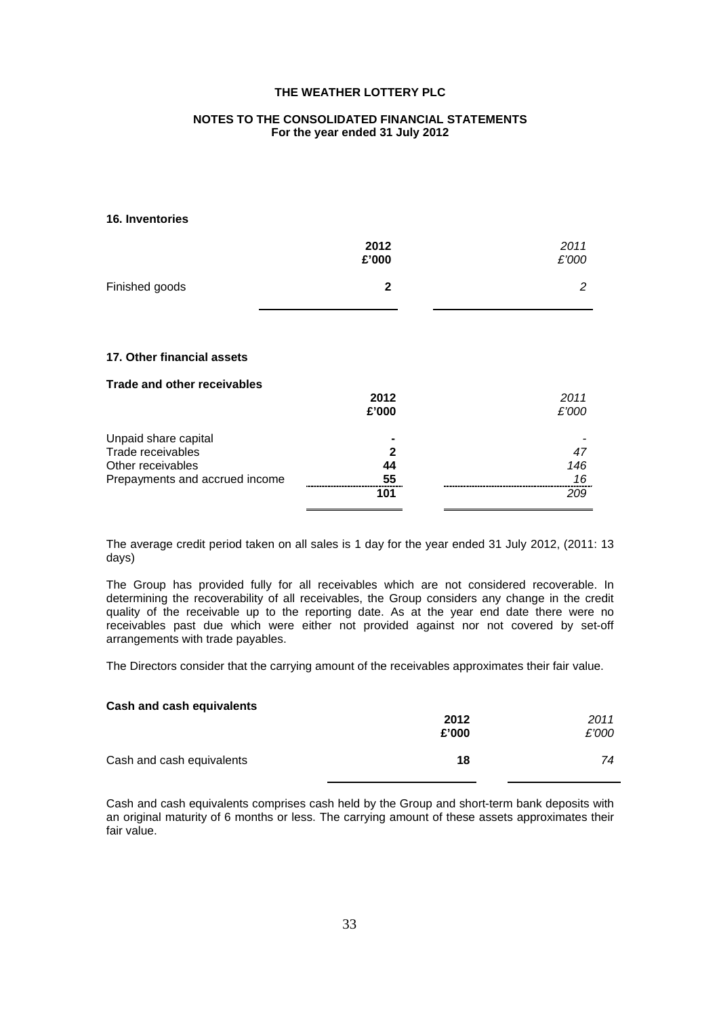# **NOTES TO THE CONSOLIDATED FINANCIAL STATEMENTS For the year ended 31 July 2012**

| 16. Inventories                |               |               |
|--------------------------------|---------------|---------------|
|                                | 2012<br>£'000 | 2011<br>£'000 |
| Finished goods                 | $\mathbf{2}$  | 2             |
|                                |               |               |
|                                |               |               |
| 17. Other financial assets     |               |               |
| Trade and other receivables    |               |               |
|                                | 2012          | 2011          |
|                                | £'000         | £'000         |
| Unpaid share capital           |               |               |
| Trade receivables              | $\mathbf{2}$  | 47            |
| Other receivables              | 44            | 146           |
| Prepayments and accrued income | 55            | 16            |
|                                | 101           | 209           |

The average credit period taken on all sales is 1 day for the year ended 31 July 2012, (2011: 13 days)

The Group has provided fully for all receivables which are not considered recoverable. In determining the recoverability of all receivables, the Group considers any change in the credit quality of the receivable up to the reporting date. As at the year end date there were no receivables past due which were either not provided against nor not covered by set-off arrangements with trade payables.

The Directors consider that the carrying amount of the receivables approximates their fair value.

| Cash and cash equivalents |               |               |
|---------------------------|---------------|---------------|
|                           | 2012<br>£'000 | 2011<br>£'000 |
| Cash and cash equivalents | 18            | 74            |

Cash and cash equivalents comprises cash held by the Group and short-term bank deposits with an original maturity of 6 months or less. The carrying amount of these assets approximates their fair value.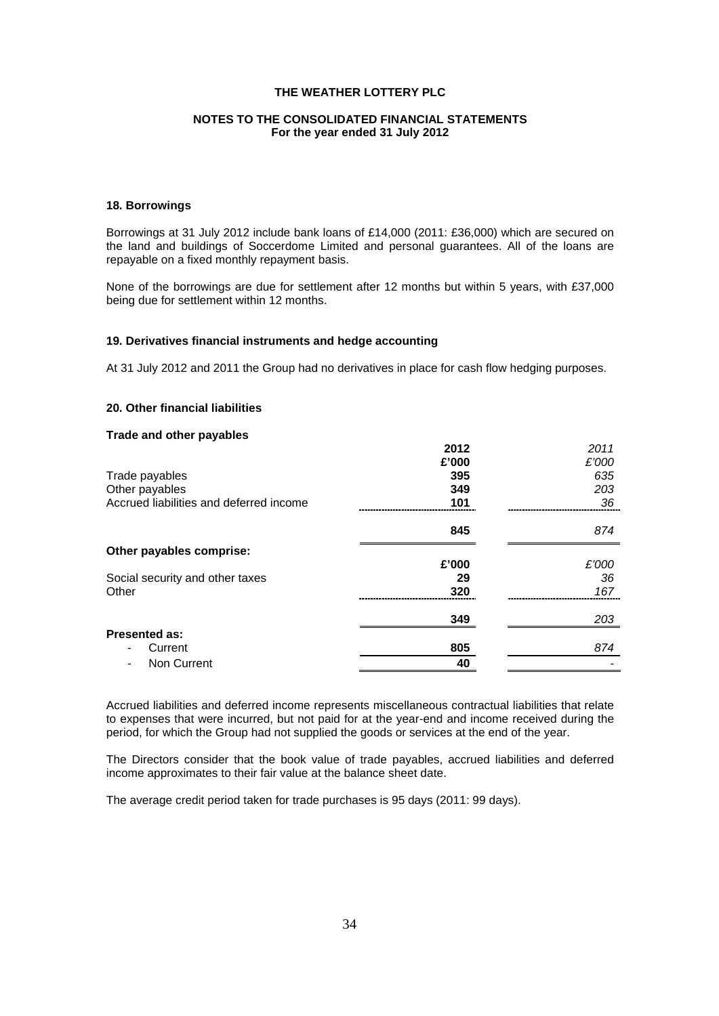# **NOTES TO THE CONSOLIDATED FINANCIAL STATEMENTS For the year ended 31 July 2012**

# **18. Borrowings**

Borrowings at 31 July 2012 include bank loans of £14,000 (2011: £36,000) which are secured on the land and buildings of Soccerdome Limited and personal guarantees. All of the loans are repayable on a fixed monthly repayment basis.

None of the borrowings are due for settlement after 12 months but within 5 years, with £37,000 being due for settlement within 12 months.

#### **19. Derivatives financial instruments and hedge accounting**

At 31 July 2012 and 2011 the Group had no derivatives in place for cash flow hedging purposes.

# **20. Other financial liabilities**

#### **Trade and other payables**

|                                         | 2012  | 2011  |
|-----------------------------------------|-------|-------|
|                                         | £'000 | £'000 |
| Trade payables                          | 395   | 635   |
| Other payables                          | 349   | 203   |
| Accrued liabilities and deferred income | 101   | 36    |
|                                         | 845   | 874   |
| Other payables comprise:                |       |       |
|                                         | £'000 | £'000 |
| Social security and other taxes         | 29    | 36    |
| Other                                   | 320   | 167   |
|                                         | 349   | 203   |
| <b>Presented as:</b>                    |       |       |
| Current<br>$\blacksquare$               | 805   | 874   |
| Non Current                             | 40    |       |

Accrued liabilities and deferred income represents miscellaneous contractual liabilities that relate to expenses that were incurred, but not paid for at the year-end and income received during the period, for which the Group had not supplied the goods or services at the end of the year.

The Directors consider that the book value of trade payables, accrued liabilities and deferred income approximates to their fair value at the balance sheet date.

The average credit period taken for trade purchases is 95 days (2011: 99 days).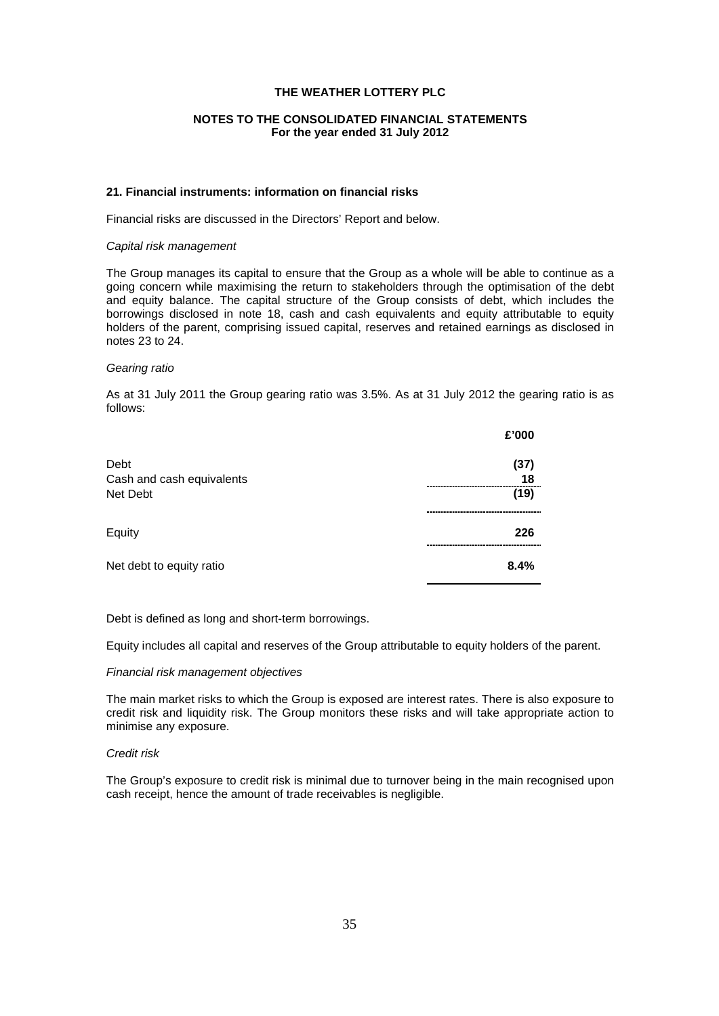# **NOTES TO THE CONSOLIDATED FINANCIAL STATEMENTS For the year ended 31 July 2012**

# **21. Financial instruments: information on financial risks**

Financial risks are discussed in the Directors' Report and below.

### *Capital risk management*

The Group manages its capital to ensure that the Group as a whole will be able to continue as a going concern while maximising the return to stakeholders through the optimisation of the debt and equity balance. The capital structure of the Group consists of debt, which includes the borrowings disclosed in note 18, cash and cash equivalents and equity attributable to equity holders of the parent, comprising issued capital, reserves and retained earnings as disclosed in notes 23 to 24.

# *Gearing ratio*

As at 31 July 2011 the Group gearing ratio was 3.5%. As at 31 July 2012 the gearing ratio is as follows:

|                           | £'000 |
|---------------------------|-------|
| Debt                      | (37)  |
| Cash and cash equivalents | 18    |
| Net Debt                  | (19)  |
|                           |       |
| Equity                    | 226   |
| Net debt to equity ratio  | 8.4%  |

Debt is defined as long and short-term borrowings.

Equity includes all capital and reserves of the Group attributable to equity holders of the parent.

#### *Financial risk management objectives*

The main market risks to which the Group is exposed are interest rates. There is also exposure to credit risk and liquidity risk. The Group monitors these risks and will take appropriate action to minimise any exposure.

#### *Credit risk*

The Group's exposure to credit risk is minimal due to turnover being in the main recognised upon cash receipt, hence the amount of trade receivables is negligible.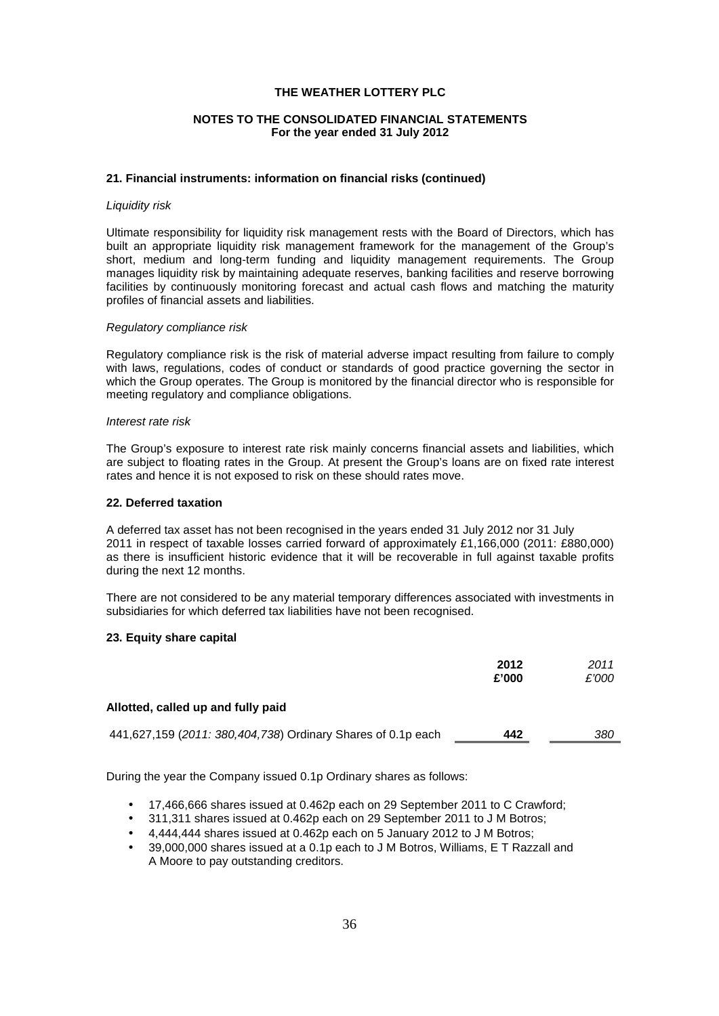# **NOTES TO THE CONSOLIDATED FINANCIAL STATEMENTS For the year ended 31 July 2012**

#### **21. Financial instruments: information on financial risks (continued)**

# *Liquidity risk*

Ultimate responsibility for liquidity risk management rests with the Board of Directors, which has built an appropriate liquidity risk management framework for the management of the Group's short, medium and long-term funding and liquidity management requirements. The Group manages liquidity risk by maintaining adequate reserves, banking facilities and reserve borrowing facilities by continuously monitoring forecast and actual cash flows and matching the maturity profiles of financial assets and liabilities.

#### *Regulatory compliance risk*

Regulatory compliance risk is the risk of material adverse impact resulting from failure to comply with laws, regulations, codes of conduct or standards of good practice governing the sector in which the Group operates. The Group is monitored by the financial director who is responsible for meeting regulatory and compliance obligations.

#### *Interest rate risk*

The Group's exposure to interest rate risk mainly concerns financial assets and liabilities, which are subject to floating rates in the Group. At present the Group's loans are on fixed rate interest rates and hence it is not exposed to risk on these should rates move.

# **22. Deferred taxation**

A deferred tax asset has not been recognised in the years ended 31 July 2012 nor 31 July 2011 in respect of taxable losses carried forward of approximately £1,166,000 (2011: £880,000) as there is insufficient historic evidence that it will be recoverable in full against taxable profits during the next 12 months.

There are not considered to be any material temporary differences associated with investments in subsidiaries for which deferred tax liabilities have not been recognised.

#### **23. Equity share capital**

|                                                              | 2012  | 2011  |
|--------------------------------------------------------------|-------|-------|
|                                                              | £'000 | £'000 |
| Allotted, called up and fully paid                           |       |       |
| 441,627,159 (2011: 380,404,738) Ordinary Shares of 0.1p each | 442   | 380   |

During the year the Company issued 0.1p Ordinary shares as follows:

- 17,466,666 shares issued at 0.462p each on 29 September 2011 to C Crawford;
- 311,311 shares issued at 0.462p each on 29 September 2011 to J M Botros;
- 4,444,444 shares issued at 0.462p each on 5 January 2012 to J M Botros;
- 39,000,000 shares issued at a 0.1p each to J M Botros, Williams, E T Razzall and A Moore to pay outstanding creditors.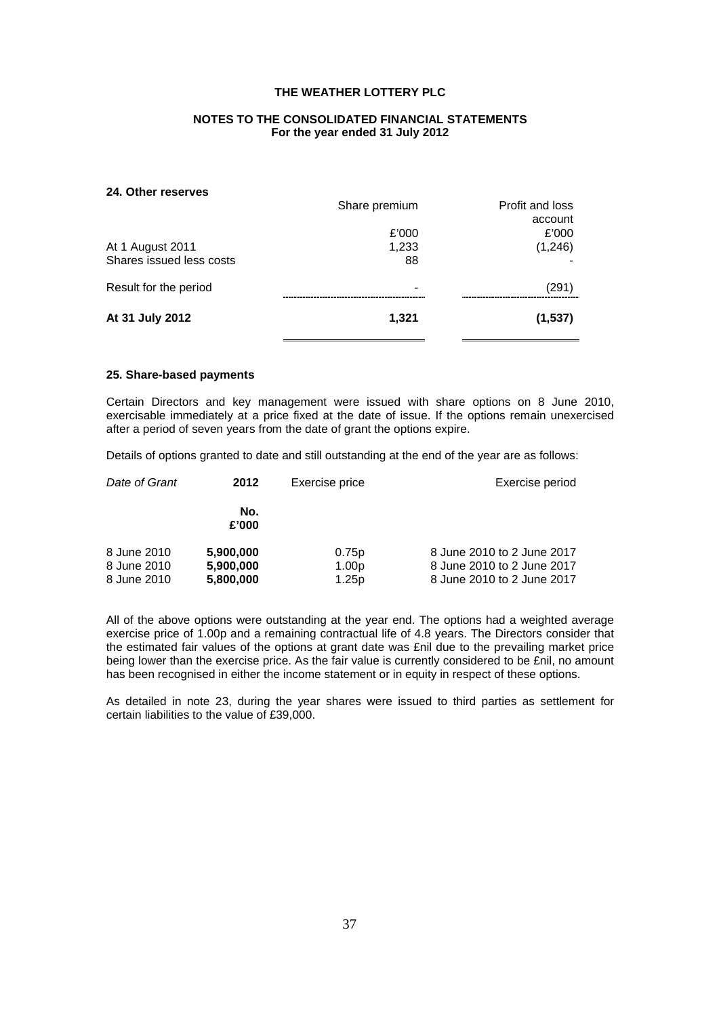# **NOTES TO THE CONSOLIDATED FINANCIAL STATEMENTS For the year ended 31 July 2012**

#### **24. Other reserves**

|                          | Share premium            | Profit and loss  |
|--------------------------|--------------------------|------------------|
|                          | £'000                    | account<br>£'000 |
| At 1 August 2011         | 1,233                    | (1,246)          |
| Shares issued less costs | 88                       |                  |
| Result for the period    | $\overline{\phantom{0}}$ | (291)            |
| At 31 July 2012          | 1,321                    | (1,537)          |

# **25. Share-based payments**

Certain Directors and key management were issued with share options on 8 June 2010, exercisable immediately at a price fixed at the date of issue. If the options remain unexercised after a period of seven years from the date of grant the options expire.

Details of options granted to date and still outstanding at the end of the year are as follows:

| Date of Grant                             | 2012                                | Exercise price                      | Exercise period                                                                        |
|-------------------------------------------|-------------------------------------|-------------------------------------|----------------------------------------------------------------------------------------|
|                                           | No.<br>£'000                        |                                     |                                                                                        |
| 8 June 2010<br>8 June 2010<br>8 June 2010 | 5,900,000<br>5,900,000<br>5,800,000 | 0.75p<br>1.00 <sub>p</sub><br>1.25p | 8 June 2010 to 2 June 2017<br>8 June 2010 to 2 June 2017<br>8 June 2010 to 2 June 2017 |

All of the above options were outstanding at the year end. The options had a weighted average exercise price of 1.00p and a remaining contractual life of 4.8 years. The Directors consider that the estimated fair values of the options at grant date was £nil due to the prevailing market price being lower than the exercise price. As the fair value is currently considered to be £nil, no amount has been recognised in either the income statement or in equity in respect of these options.

As detailed in note 23, during the year shares were issued to third parties as settlement for certain liabilities to the value of £39,000.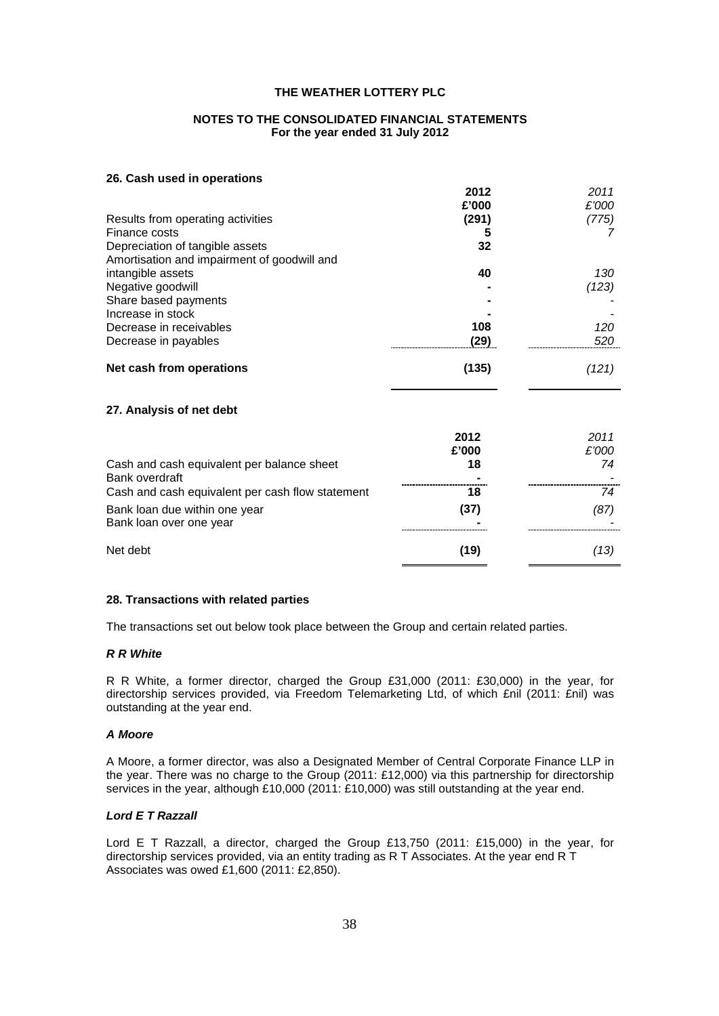# **NOTES TO THE CONSOLIDATED FINANCIAL STATEMENTS For the year ended 31 July 2012**

#### **26. Cash used in operations**

|                                             | 2012<br>£'000 | 2011<br>£'000 |
|---------------------------------------------|---------------|---------------|
| Results from operating activities           | (291)         | (775)         |
| Finance costs                               |               |               |
| Depreciation of tangible assets             | 32            |               |
| Amortisation and impairment of goodwill and |               |               |
| intangible assets                           | 40            | 130           |
| Negative goodwill                           |               | (123)         |
| Share based payments                        |               |               |
| Increase in stock                           |               |               |
| Decrease in receivables                     | 108           | 120           |
| Decrease in payables                        | (29)          | 520           |
| Net cash from operations                    | (135)         | (121)         |

# **27. Analysis of net debt**

|                                                              | 2012<br>£'000 | 2011<br>£'000 |
|--------------------------------------------------------------|---------------|---------------|
| Cash and cash equivalent per balance sheet<br>Bank overdraft | 18            | 74            |
| Cash and cash equivalent per cash flow statement             | 18            | 74            |
| Bank loan due within one year<br>Bank loan over one year     | (37)          | (87)          |
| Net debt                                                     | (19)          | (13)          |

# **28. Transactions with related parties**

The transactions set out below took place between the Group and certain related parties.

# *R R White*

R R White, a former director, charged the Group £31,000 (2011: £30,000) in the year, for directorship services provided, via Freedom Telemarketing Ltd, of which £nil (2011: £nil) was outstanding at the year end.

#### *A Moore*

A Moore, a former director, was also a Designated Member of Central Corporate Finance LLP in the year. There was no charge to the Group (2011: £12,000) via this partnership for directorship services in the year, although £10,000 (2011: £10,000) was still outstanding at the year end.

# *Lord E T Razzall*

Lord E T Razzall, a director, charged the Group £13,750 (2011: £15,000) in the year, for directorship services provided, via an entity trading as R T Associates. At the year end R T Associates was owed £1,600 (2011: £2,850).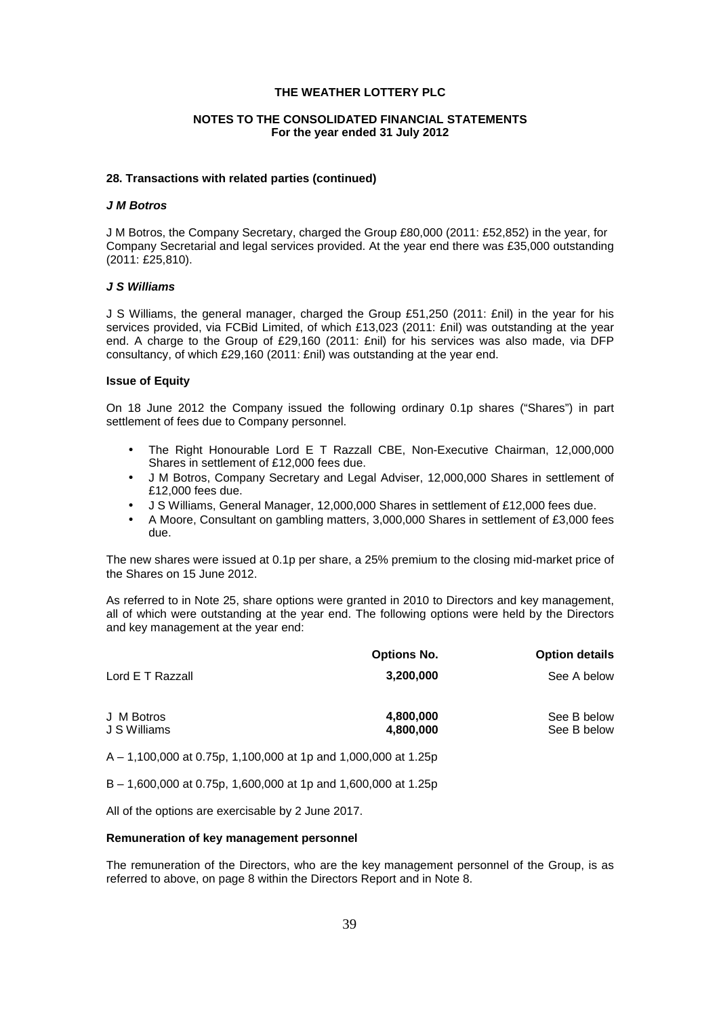# **NOTES TO THE CONSOLIDATED FINANCIAL STATEMENTS For the year ended 31 July 2012**

### **28. Transactions with related parties (continued)**

# *J M Botros*

J M Botros, the Company Secretary, charged the Group £80,000 (2011: £52,852) in the year, for Company Secretarial and legal services provided. At the year end there was £35,000 outstanding (2011: £25,810).

# *J S Williams*

J S Williams, the general manager, charged the Group £51,250 (2011: £nil) in the year for his services provided, via FCBid Limited, of which £13,023 (2011: £nil) was outstanding at the year end. A charge to the Group of £29,160 (2011: £nil) for his services was also made, via DFP consultancy, of which £29,160 (2011: £nil) was outstanding at the year end.

#### **Issue of Equity**

On 18 June 2012 the Company issued the following ordinary 0.1p shares ("Shares") in part settlement of fees due to Company personnel.

- The Right Honourable Lord E T Razzall CBE, Non-Executive Chairman, 12,000,000 Shares in settlement of £12,000 fees due.
- J M Botros, Company Secretary and Legal Adviser, 12,000,000 Shares in settlement of £12,000 fees due.
- J S Williams, General Manager, 12,000,000 Shares in settlement of £12,000 fees due.
- A Moore, Consultant on gambling matters, 3,000,000 Shares in settlement of £3,000 fees due.

The new shares were issued at 0.1p per share, a 25% premium to the closing mid-market price of the Shares on 15 June 2012.

As referred to in Note 25, share options were granted in 2010 to Directors and key management, all of which were outstanding at the year end. The following options were held by the Directors and key management at the year end:

|                  | <b>Options No.</b> | <b>Option details</b> |
|------------------|--------------------|-----------------------|
| Lord E T Razzall | 3,200,000          | See A below           |
| J M Botros       | 4,800,000          | See B below           |
| J S Williams     | 4,800,000          | See B below           |

A – 1,100,000 at 0.75p, 1,100,000 at 1p and 1,000,000 at 1.25p

B – 1,600,000 at 0.75p, 1,600,000 at 1p and 1,600,000 at 1.25p

All of the options are exercisable by 2 June 2017.

#### **Remuneration of key management personnel**

The remuneration of the Directors, who are the key management personnel of the Group, is as referred to above, on page 8 within the Directors Report and in Note 8.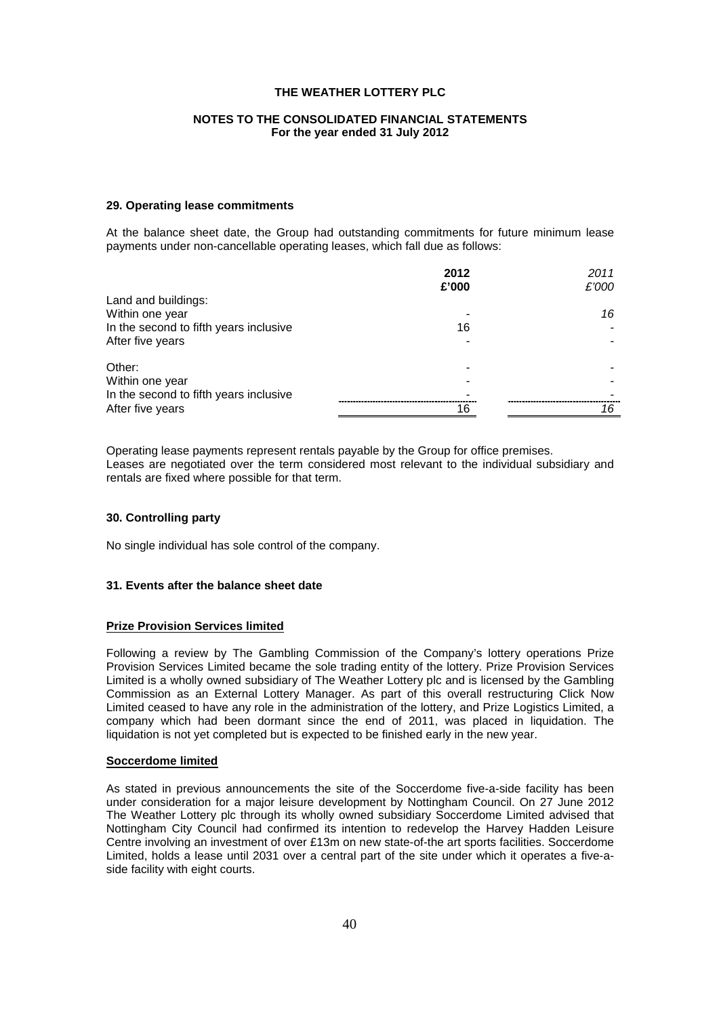# **NOTES TO THE CONSOLIDATED FINANCIAL STATEMENTS For the year ended 31 July 2012**

# **29. Operating lease commitments**

At the balance sheet date, the Group had outstanding commitments for future minimum lease payments under non-cancellable operating leases, which fall due as follows:

|                                        | 2012<br>£'000 | 2011<br>£'000 |
|----------------------------------------|---------------|---------------|
| Land and buildings:                    |               |               |
| Within one year                        |               | 16            |
| In the second to fifth years inclusive | 16            |               |
| After five years                       |               |               |
| Other:                                 |               |               |
| Within one year                        |               |               |
| In the second to fifth years inclusive |               |               |
| After five years                       | 16            | 16            |
|                                        |               |               |

Operating lease payments represent rentals payable by the Group for office premises. Leases are negotiated over the term considered most relevant to the individual subsidiary and rentals are fixed where possible for that term.

#### **30. Controlling party**

No single individual has sole control of the company.

# **31. Events after the balance sheet date**

#### **Prize Provision Services limited**

Following a review by The Gambling Commission of the Company's lottery operations Prize Provision Services Limited became the sole trading entity of the lottery. Prize Provision Services Limited is a wholly owned subsidiary of The Weather Lottery plc and is licensed by the Gambling Commission as an External Lottery Manager. As part of this overall restructuring Click Now Limited ceased to have any role in the administration of the lottery, and Prize Logistics Limited, a company which had been dormant since the end of 2011, was placed in liquidation. The liquidation is not yet completed but is expected to be finished early in the new year.

#### **Soccerdome limited**

As stated in previous announcements the site of the Soccerdome five-a-side facility has been under consideration for a major leisure development by Nottingham Council. On 27 June 2012 The Weather Lottery plc through its wholly owned subsidiary Soccerdome Limited advised that Nottingham City Council had confirmed its intention to redevelop the Harvey Hadden Leisure Centre involving an investment of over £13m on new state-of-the art sports facilities. Soccerdome Limited, holds a lease until 2031 over a central part of the site under which it operates a five-aside facility with eight courts.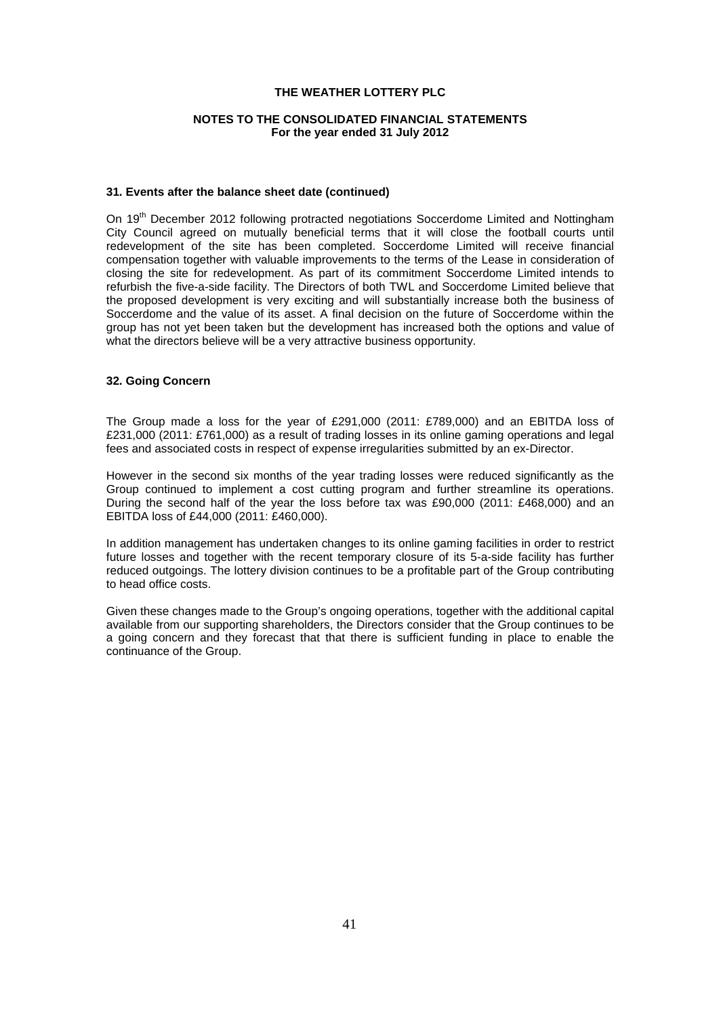# **NOTES TO THE CONSOLIDATED FINANCIAL STATEMENTS For the year ended 31 July 2012**

#### **31. Events after the balance sheet date (continued)**

On 19<sup>th</sup> December 2012 following protracted negotiations Soccerdome Limited and Nottingham City Council agreed on mutually beneficial terms that it will close the football courts until redevelopment of the site has been completed. Soccerdome Limited will receive financial compensation together with valuable improvements to the terms of the Lease in consideration of closing the site for redevelopment. As part of its commitment Soccerdome Limited intends to refurbish the five-a-side facility. The Directors of both TWL and Soccerdome Limited believe that the proposed development is very exciting and will substantially increase both the business of Soccerdome and the value of its asset. A final decision on the future of Soccerdome within the group has not yet been taken but the development has increased both the options and value of what the directors believe will be a very attractive business opportunity.

# **32. Going Concern**

The Group made a loss for the year of £291,000 (2011: £789,000) and an EBITDA loss of £231,000 (2011: £761,000) as a result of trading losses in its online gaming operations and legal fees and associated costs in respect of expense irregularities submitted by an ex-Director.

However in the second six months of the year trading losses were reduced significantly as the Group continued to implement a cost cutting program and further streamline its operations. During the second half of the year the loss before tax was £90,000 (2011: £468,000) and an EBITDA loss of £44,000 (2011: £460,000).

In addition management has undertaken changes to its online gaming facilities in order to restrict future losses and together with the recent temporary closure of its 5-a-side facility has further reduced outgoings. The lottery division continues to be a profitable part of the Group contributing to head office costs.

Given these changes made to the Group's ongoing operations, together with the additional capital available from our supporting shareholders, the Directors consider that the Group continues to be a going concern and they forecast that that there is sufficient funding in place to enable the continuance of the Group.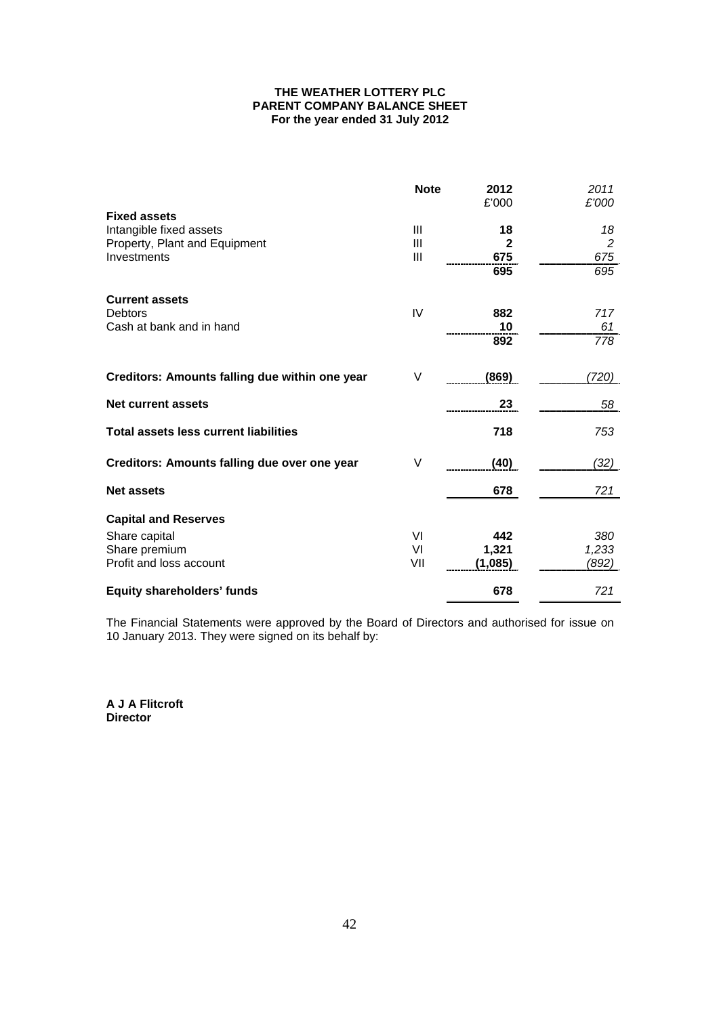# **THE WEATHER LOTTERY PLC PARENT COMPANY BALANCE SHEET For the year ended 31 July 2012**

|                                                | <b>Note</b> | 2012<br>£'000 | 2011<br>£'000 |
|------------------------------------------------|-------------|---------------|---------------|
| <b>Fixed assets</b>                            |             |               |               |
| Intangible fixed assets                        | Ш           | 18            | 18            |
| Property, Plant and Equipment                  | Ш           | $\mathbf{2}$  | 2             |
| Investments                                    | Ш           | 675           | 675           |
|                                                |             | 695           | 695           |
| <b>Current assets</b>                          |             |               |               |
| <b>Debtors</b>                                 | IV          | 882           | 717           |
| Cash at bank and in hand                       |             | 10            | 61            |
|                                                |             | 892           | 778           |
| Creditors: Amounts falling due within one year | $\vee$      | (869)         | 720)          |
| <b>Net current assets</b>                      |             | 23            | 58            |
| <b>Total assets less current liabilities</b>   |             | 718           | 753           |
| Creditors: Amounts falling due over one year   | V           | (40)          | (32)          |
| <b>Net assets</b>                              |             | 678           | 721           |
| <b>Capital and Reserves</b>                    |             |               |               |
| Share capital                                  | VI          | 442           | 380           |
| Share premium                                  | VI          | 1,321         | 1,233         |
| Profit and loss account                        | VII         | (1,085)       | (892)         |
| <b>Equity shareholders' funds</b>              |             | 678           | 721           |

The Financial Statements were approved by the Board of Directors and authorised for issue on 10 January 2013. They were signed on its behalf by:

**A J A Flitcroft Director**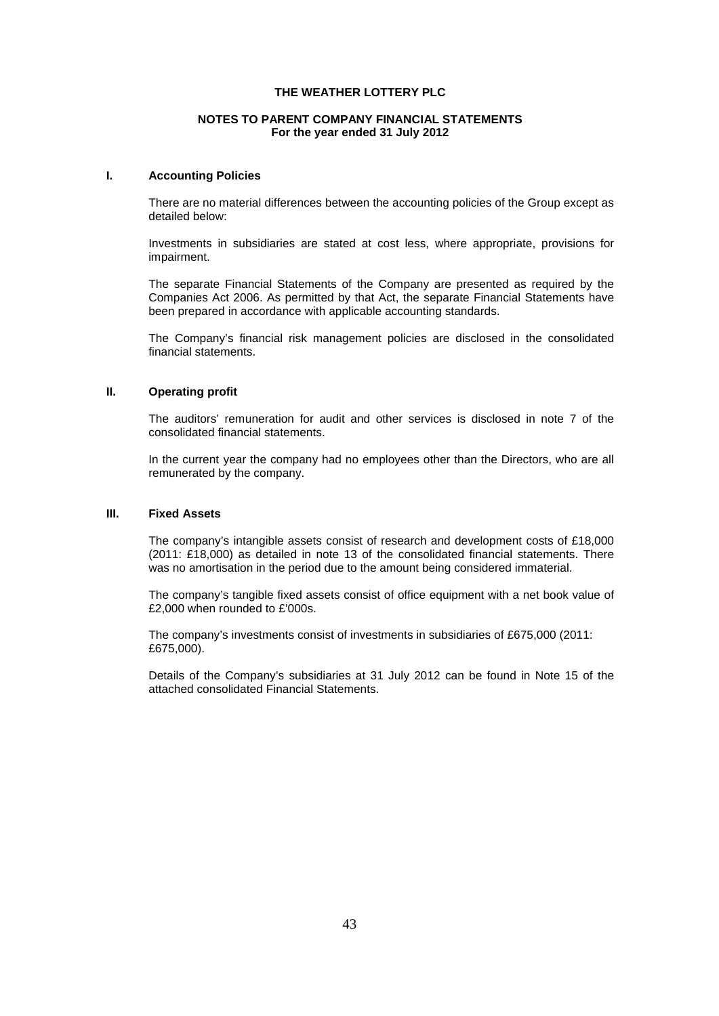# **NOTES TO PARENT COMPANY FINANCIAL STATEMENTS For the year ended 31 July 2012**

#### **I. Accounting Policies**

There are no material differences between the accounting policies of the Group except as detailed below:

Investments in subsidiaries are stated at cost less, where appropriate, provisions for impairment.

The separate Financial Statements of the Company are presented as required by the Companies Act 2006. As permitted by that Act, the separate Financial Statements have been prepared in accordance with applicable accounting standards.

The Company's financial risk management policies are disclosed in the consolidated financial statements.

# **II. Operating profit**

The auditors' remuneration for audit and other services is disclosed in note 7 of the consolidated financial statements.

In the current year the company had no employees other than the Directors, who are all remunerated by the company.

# **III. Fixed Assets**

The company's intangible assets consist of research and development costs of £18,000 (2011: £18,000) as detailed in note 13 of the consolidated financial statements. There was no amortisation in the period due to the amount being considered immaterial.

The company's tangible fixed assets consist of office equipment with a net book value of £2,000 when rounded to £'000s.

The company's investments consist of investments in subsidiaries of £675,000 (2011: £675,000).

Details of the Company's subsidiaries at 31 July 2012 can be found in Note 15 of the attached consolidated Financial Statements.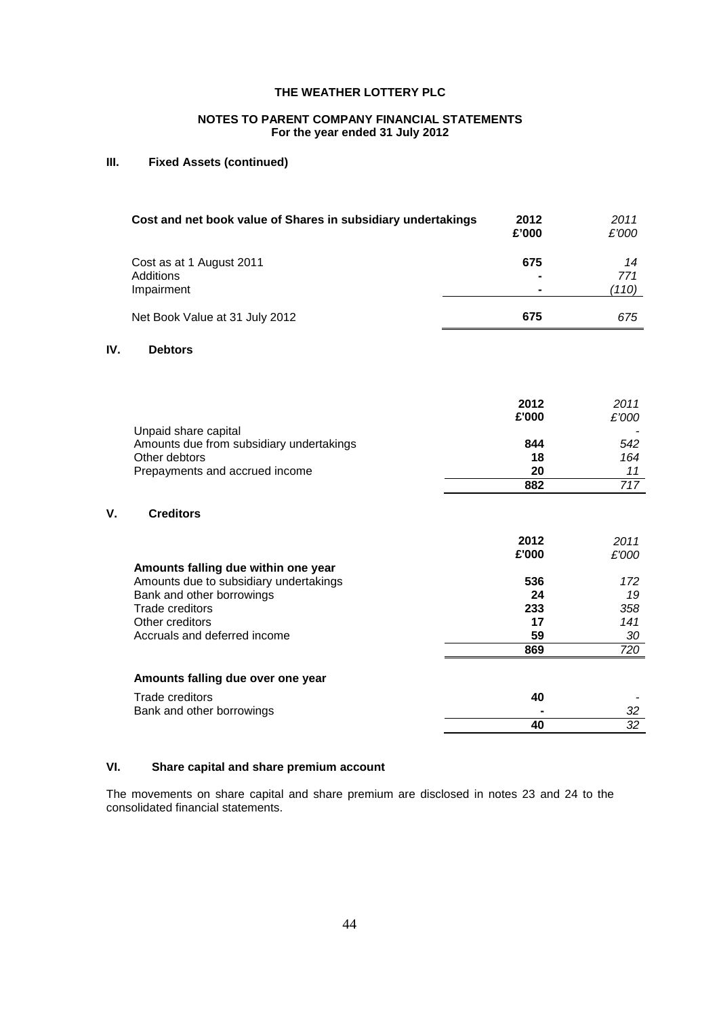# **NOTES TO PARENT COMPANY FINANCIAL STATEMENTS For the year ended 31 July 2012**

# **III. Fixed Assets (continued)**

|     | Cost and net book value of Shares in subsidiary undertakings | 2012<br>£'000 | 2011<br>£'000    |
|-----|--------------------------------------------------------------|---------------|------------------|
|     | Cost as at 1 August 2011                                     | 675           | 14               |
|     | Additions                                                    |               | 771              |
|     | Impairment                                                   |               | (110)            |
|     | Net Book Value at 31 July 2012                               | 675           | 675              |
| IV. | <b>Debtors</b>                                               |               |                  |
|     |                                                              | 2012<br>£'000 | 2011<br>£'000    |
|     | Unpaid share capital                                         |               |                  |
|     | Amounts due from subsidiary undertakings                     | 844           | 542              |
|     | Other debtors                                                | 18            | 164              |
|     | Prepayments and accrued income                               | 20            | 11               |
|     |                                                              | 882           | $\overline{717}$ |
| V.  | <b>Creditors</b>                                             |               |                  |
|     |                                                              | 2012          | 2011             |
|     |                                                              | £'000         | £'000            |
|     | Amounts falling due within one year                          |               |                  |
|     | Amounts due to subsidiary undertakings                       | 536           | 172              |
|     | Bank and other borrowings                                    | 24            | 19               |
|     | Trade creditors                                              | 233           | 358              |
|     | Other creditors                                              | 17<br>59      | 141              |
|     | Accruals and deferred income                                 | 869           | 30<br>720        |
|     |                                                              |               |                  |
|     | Amounts falling due over one year                            |               |                  |
|     | <b>Trade creditors</b>                                       | 40            |                  |
|     | Bank and other borrowings                                    |               | 32               |
|     |                                                              | 40            | $\overline{32}$  |

# **VI. Share capital and share premium account**

The movements on share capital and share premium are disclosed in notes 23 and 24 to the consolidated financial statements.